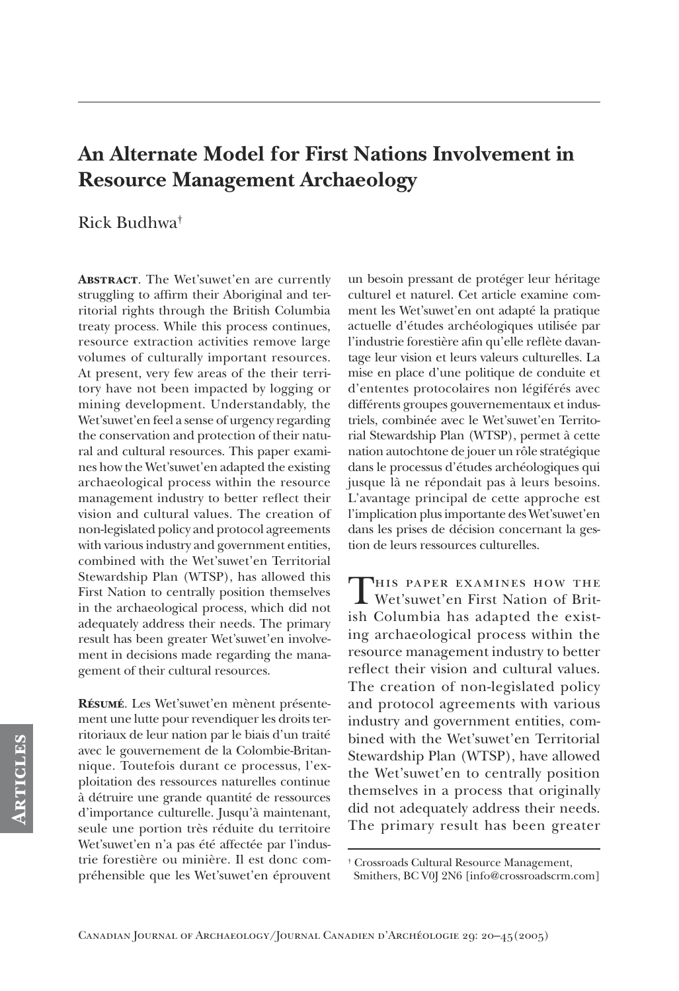# An Alternate Model for First Nations Involvement in **Resource Management Archaeology**

# Rick Budhwa<sup>†</sup>

**ABSTRACT.** The Wet'suwet'en are currently struggling to affirm their Aboriginal and territorial rights through the British Columbia treaty process. While this process continues, resource extraction activities remove large volumes of culturally important resources. At present, very few areas of the their territory have not been impacted by logging or mining development. Understandably, the Wet'suwet'en feel a sense of urgency regarding the conservation and protection of their natural and cultural resources. This paper examines how the Wet'suwet'en adapted the existing archaeological process within the resource management industry to better reflect their vision and cultural values. The creation of non-legislated policy and protocol agreements with various industry and government entities, combined with the Wet'suwet'en Territorial Stewardship Plan (WTSP), has allowed this First Nation to centrally position themselves in the archaeological process, which did not adequately address their needs. The primary result has been greater Wet'suwet'en involvement in decisions made regarding the management of their cultural resources.

RÉSUMÉ. Les Wet'suwet'en mènent présentement une lutte pour revendiquer les droits territoriaux de leur nation par le biais d'un traité avec le gouvernement de la Colombie-Britannique. Toutefois durant ce processus, l'exploitation des ressources naturelles continue à détruire une grande quantité de ressources d'importance culturelle. Jusqu'à maintenant, seule une portion très réduite du territoire Wet'suwet'en n'a pas été affectée par l'industrie forestière ou minière. Il est donc compréhensible que les Wet'suwet'en éprouvent un besoin pressant de protéger leur héritage culturel et naturel. Cet article examine comment les Wet'suwet'en ont adapté la pratique actuelle d'études archéologiques utilisée par l'industrie forestière afin qu'elle reflète davantage leur vision et leurs valeurs culturelles. La mise en place d'une politique de conduite et d'ententes protocolaires non légiférés avec différents groupes gouvernementaux et industriels, combinée avec le Wet'suwet'en Territorial Stewardship Plan (WTSP), permet à cette nation autochtone de jouer un rôle stratégique dans le processus d'études archéologiques qui jusque là ne répondait pas à leurs besoins. L'avantage principal de cette approche est l'implication plus importante des Wet'suwet'en dans les prises de décision concernant la gestion de leurs ressources culturelles.

THIS PAPER EXAMINES HOW THE Wet'suwet'en First Nation of British Columbia has adapted the existing archaeological process within the resource management industry to better reflect their vision and cultural values. The creation of non-legislated policy and protocol agreements with various industry and government entities, combined with the Wet'suwet'en Territorial Stewardship Plan (WTSP), have allowed the Wet'suwet'en to centrally position themselves in a process that originally did not adequately address their needs. The primary result has been greater

<sup>&</sup>lt;sup>†</sup> Crossroads Cultural Resource Management, Smithers, BC V0J 2N6 [info@crossroadscrm.com]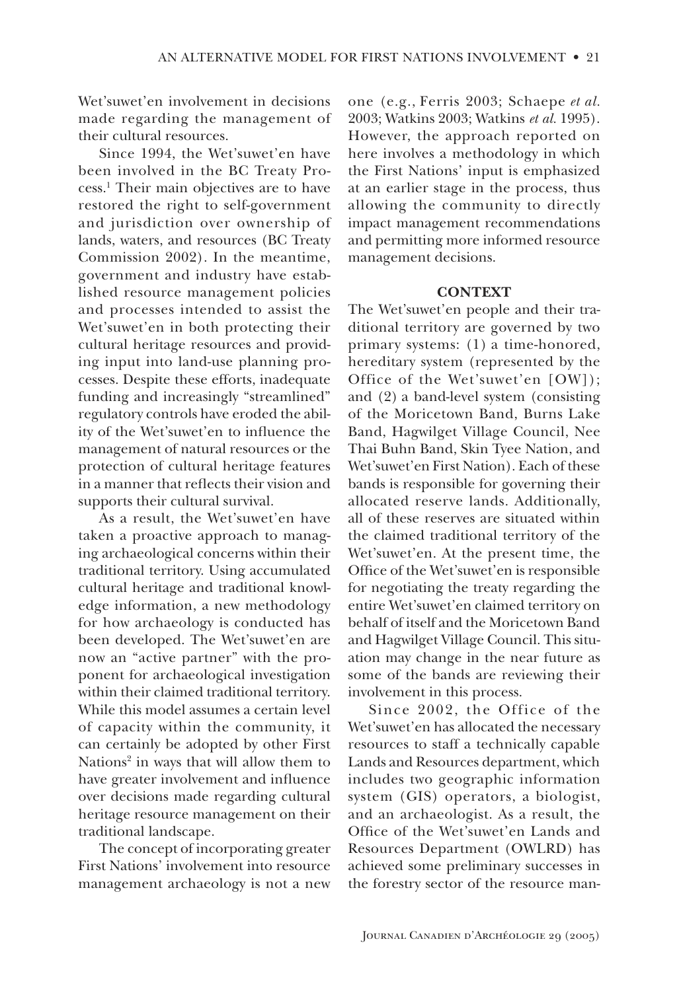Wet'suwet'en involvement in decisions made regarding the management of their cultural resources.

Since 1994, the Wet'suwet'en have been involved in the BC Treaty Process.<sup>1</sup> Their main objectives are to have restored the right to self-government and jurisdiction over ownership of lands, waters, and resources (BC Treaty Commission 2002). In the meantime, government and industry have established resource management policies and processes intended to assist the Wet'suwet'en in both protecting their cultural heritage resources and providing input into land-use planning processes. Despite these efforts, inadequate funding and increasingly "streamlined" regulatory controls have eroded the ability of the Wet'suwet'en to influence the management of natural resources or the protection of cultural heritage features in a manner that reflects their vision and supports their cultural survival.

As a result, the Wet'suwet'en have taken a proactive approach to managing archaeological concerns within their traditional territory. Using accumulated cultural heritage and traditional knowledge information, a new methodology for how archaeology is conducted has been developed. The Wet'suwet'en are now an "active partner" with the proponent for archaeological investigation within their claimed traditional territory. While this model assumes a certain level of capacity within the community, it can certainly be adopted by other First Nations<sup>2</sup> in ways that will allow them to have greater involvement and influence over decisions made regarding cultural heritage resource management on their traditional landscape.

The concept of incorporating greater First Nations' involvement into resource management archaeology is not a new one (e.g., Ferris 2003; Schaepe et al. 2003; Watkins 2003; Watkins et al. 1995). However, the approach reported on here involves a methodology in which the First Nations' input is emphasized at an earlier stage in the process, thus allowing the community to directly impact management recommendations and permitting more informed resource management decisions.

#### **CONTEXT**

The Wet'suwet'en people and their traditional territory are governed by two primary systems: (1) a time-honored, hereditary system (represented by the Office of the Wet'suwet'en [OW]); and (2) a band-level system (consisting of the Moricetown Band, Burns Lake Band, Hagwilget Village Council, Nee Thai Buhn Band, Skin Tyee Nation, and Wet'suwet'en First Nation). Each of these bands is responsible for governing their allocated reserve lands. Additionally, all of these reserves are situated within the claimed traditional territory of the Wet'suwet'en. At the present time, the Office of the Wet'suwet'en is responsible for negotiating the treaty regarding the entire Wet'suwet'en claimed territory on behalf of itself and the Moricetown Band and Hagwilget Village Council. This situation may change in the near future as some of the bands are reviewing their involvement in this process.

Since 2002, the Office of the Wet'suwet'en has allocated the necessary resources to staff a technically capable Lands and Resources department, which includes two geographic information system (GIS) operators, a biologist, and an archaeologist. As a result, the Office of the Wet'suwet'en Lands and Resources Department (OWLRD) has achieved some preliminary successes in the forestry sector of the resource man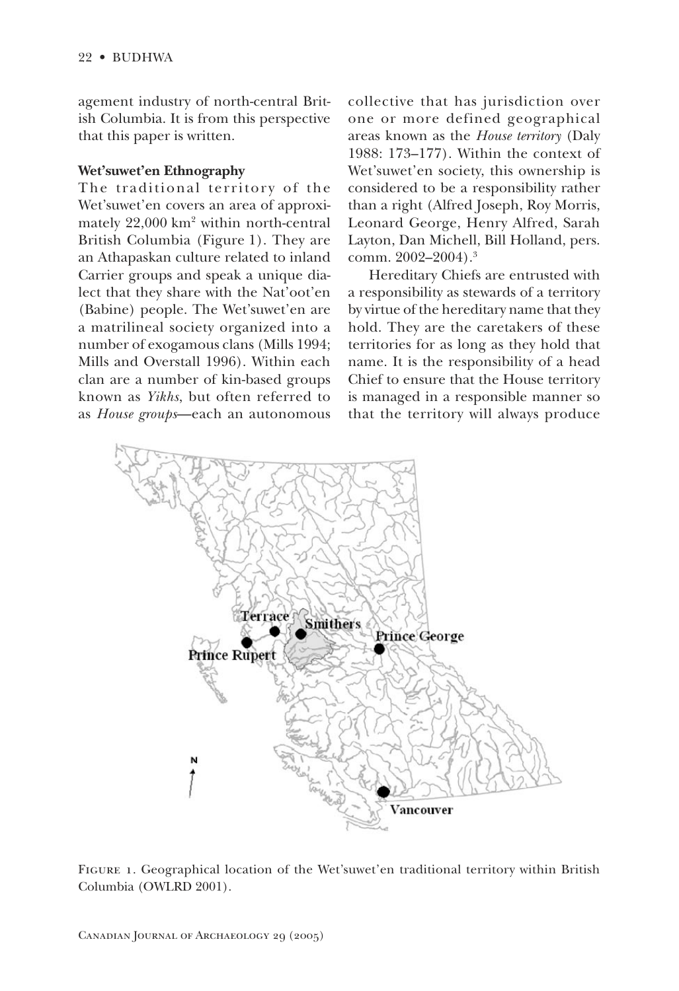agement industry of north-central British Columbia. It is from this perspective that this paper is written.

#### Wet'suwet'en Ethnography

The traditional territory of the Wet'suwet'en covers an area of approximately 22,000 km<sup>2</sup> within north-central British Columbia (Figure 1). They are an Athapaskan culture related to inland Carrier groups and speak a unique dialect that they share with the Nat'oot'en (Babine) people. The Wet'suwet'en are a matrilineal society organized into a number of exogamous clans (Mills 1994; Mills and Overstall 1996). Within each clan are a number of kin-based groups known as Yikhs, but often referred to as *House groups*—each an autonomous

collective that has jurisdiction over one or more defined geographical areas known as the House territory (Daly 1988:  $173-177$ ). Within the context of Wet'suwet'en society, this ownership is considered to be a responsibility rather than a right (Alfred Joseph, Roy Morris, Leonard George, Henry Alfred, Sarah Layton, Dan Michell, Bill Holland, pers. comm. 2002-2004).<sup>3</sup>

Hereditary Chiefs are entrusted with a responsibility as stewards of a territory by virtue of the hereditary name that they hold. They are the caretakers of these territories for as long as they hold that name. It is the responsibility of a head Chief to ensure that the House territory is managed in a responsible manner so that the territory will always produce



FIGURE 1. Geographical location of the Wet'suwet'en traditional territory within British Columbia (OWLRD 2001).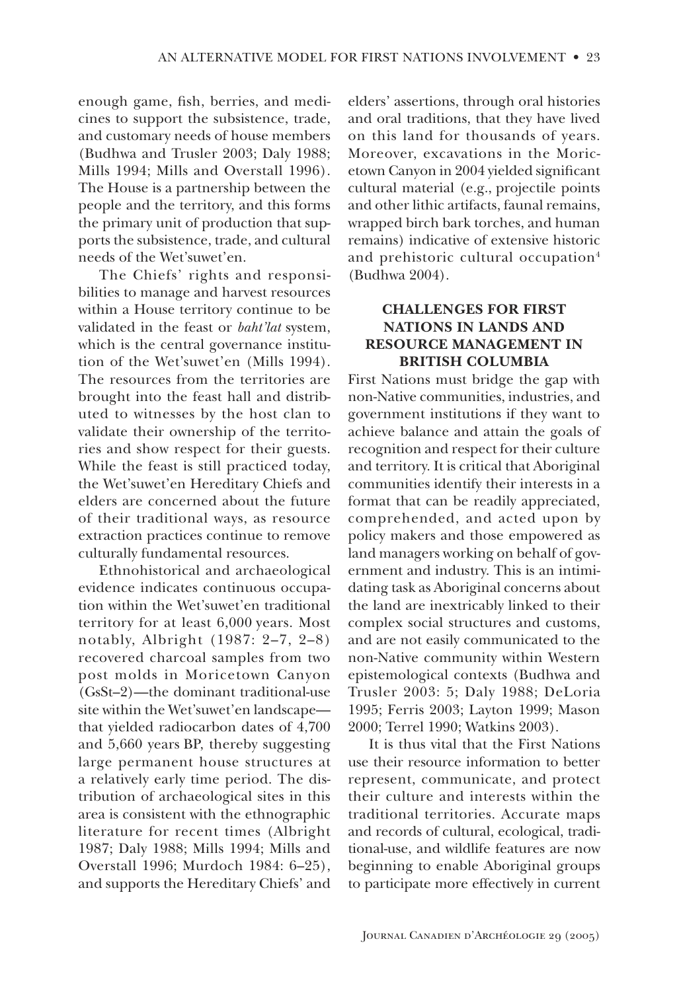enough game, fish, berries, and medicines to support the subsistence, trade, and customary needs of house members (Budhwa and Trusler 2003; Daly 1988; Mills 1994; Mills and Overstall 1996). The House is a partnership between the people and the territory, and this forms the primary unit of production that supports the subsistence, trade, and cultural needs of the Wet'suwet'en.

The Chiefs' rights and responsibilities to manage and harvest resources within a House territory continue to be validated in the feast or baht'lat system, which is the central governance institution of the Wet'suwet'en (Mills 1994). The resources from the territories are brought into the feast hall and distributed to witnesses by the host clan to validate their ownership of the territories and show respect for their guests. While the feast is still practiced today, the Wet'suwet'en Hereditary Chiefs and elders are concerned about the future of their traditional ways, as resource extraction practices continue to remove culturally fundamental resources.

Ethnohistorical and archaeological evidence indicates continuous occupation within the Wet'suwet'en traditional territory for at least 6,000 years. Most notably, Albright (1987: 2-7, 2-8) recovered charcoal samples from two post molds in Moricetown Canyon (GsSt-2)—the dominant traditional-use site within the Wet'suwet'en landscapethat yielded radiocarbon dates of 4,700 and 5,660 years BP, thereby suggesting large permanent house structures at a relatively early time period. The distribution of archaeological sites in this area is consistent with the ethnographic literature for recent times (Albright 1987; Daly 1988; Mills 1994; Mills and Overstall 1996; Murdoch 1984: 6-25), and supports the Hereditary Chiefs' and elders' assertions, through oral histories and oral traditions, that they have lived on this land for thousands of years. Moreover, excavations in the Moricetown Canyon in 2004 yielded significant cultural material (e.g., projectile points and other lithic artifacts, faunal remains, wrapped birch bark torches, and human remains) indicative of extensive historic and prehistoric cultural occupation<sup>4</sup> (Budhwa 2004).

# **CHALLENGES FOR FIRST NATIONS IN LANDS AND RESOURCE MANAGEMENT IN BRITISH COLUMBIA**

First Nations must bridge the gap with non-Native communities, industries, and government institutions if they want to achieve balance and attain the goals of recognition and respect for their culture and territory. It is critical that Aboriginal communities identify their interests in a format that can be readily appreciated, comprehended, and acted upon by policy makers and those empowered as land managers working on behalf of government and industry. This is an intimidating task as Aboriginal concerns about the land are inextricably linked to their complex social structures and customs, and are not easily communicated to the non-Native community within Western epistemological contexts (Budhwa and Trusler 2003: 5; Daly 1988; DeLoria 1995; Ferris 2003; Layton 1999; Mason 2000; Terrel 1990; Watkins 2003).

It is thus vital that the First Nations use their resource information to better represent, communicate, and protect their culture and interests within the traditional territories. Accurate maps and records of cultural, ecological, traditional-use, and wildlife features are now beginning to enable Aboriginal groups to participate more effectively in current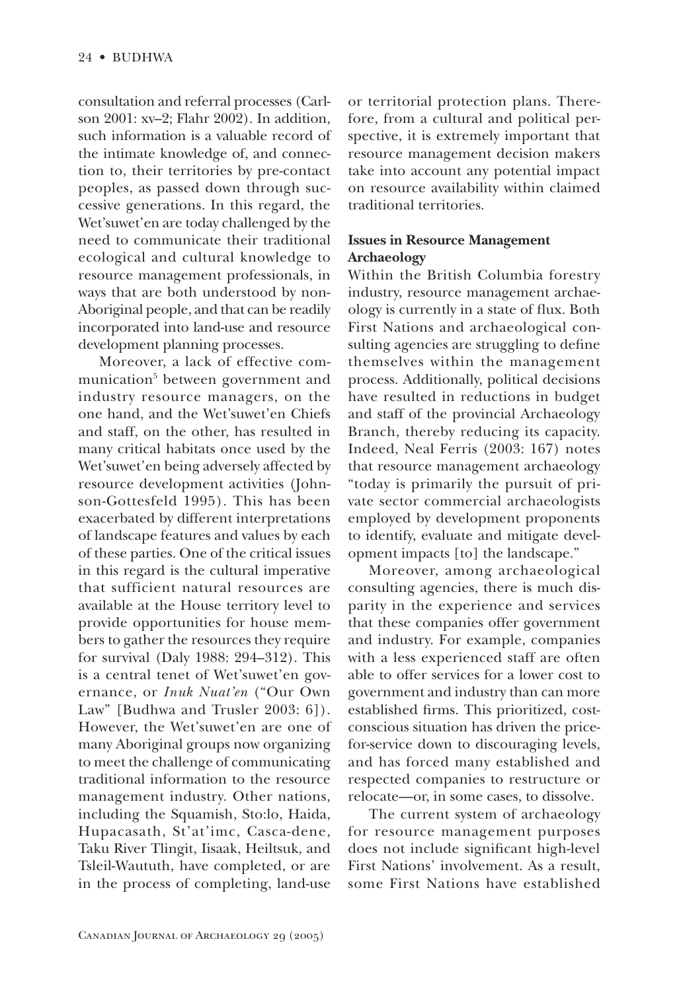consultation and referral processes (Carlson 2001: xv-2; Flahr 2002). In addition, such information is a valuable record of the intimate knowledge of, and connection to, their territories by pre-contact peoples, as passed down through successive generations. In this regard, the Wet'suwet'en are today challenged by the need to communicate their traditional ecological and cultural knowledge to resource management professionals, in ways that are both understood by non-Aboriginal people, and that can be readily incorporated into land-use and resource development planning processes.

Moreover, a lack of effective communication<sup>5</sup> between government and industry resource managers, on the one hand, and the Wet'suwet'en Chiefs and staff, on the other, has resulted in many critical habitats once used by the Wet's uwet'en being adversely affected by resource development activities (Johnson-Gottesfeld 1995). This has been exacerbated by different interpretations of landscape features and values by each of these parties. One of the critical issues in this regard is the cultural imperative that sufficient natural resources are available at the House territory level to provide opportunities for house members to gather the resources they require for survival (Daly 1988: 294-312). This is a central tenet of Wet'suwet'en governance, or *Inuk Nuat'en* ("Our Own Law" [Budhwa and Trusler 2003: 6]). However, the Wet'suwet'en are one of many Aboriginal groups now organizing to meet the challenge of communicating traditional information to the resource management industry. Other nations, including the Squamish, Sto:lo, Haida, Hupacasath, St'at'imc, Casca-dene, Taku River Tlingit, Iisaak, Heiltsuk, and Tsleil-Waututh, have completed, or are in the process of completing, land-use

or territorial protection plans. Therefore, from a cultural and political perspective, it is extremely important that resource management decision makers take into account any potential impact on resource availability within claimed traditional territories.

# **Issues in Resource Management** Archaeology

Within the British Columbia forestry industry, resource management archaeology is currently in a state of flux. Both First Nations and archaeological consulting agencies are struggling to define themselves within the management process. Additionally, political decisions have resulted in reductions in budget and staff of the provincial Archaeology Branch, thereby reducing its capacity. Indeed, Neal Ferris (2003: 167) notes that resource management archaeology "today is primarily the pursuit of private sector commercial archaeologists employed by development proponents to identify, evaluate and mitigate development impacts [to] the landscape."

Moreover, among archaeological consulting agencies, there is much disparity in the experience and services that these companies offer government and industry. For example, companies with a less experienced staff are often able to offer services for a lower cost to government and industry than can more established firms. This prioritized, costconscious situation has driven the pricefor-service down to discouraging levels, and has forced many established and respected companies to restructure or relocate—or, in some cases, to dissolve.

The current system of archaeology for resource management purposes does not include significant high-level First Nations' involvement. As a result. some First Nations have established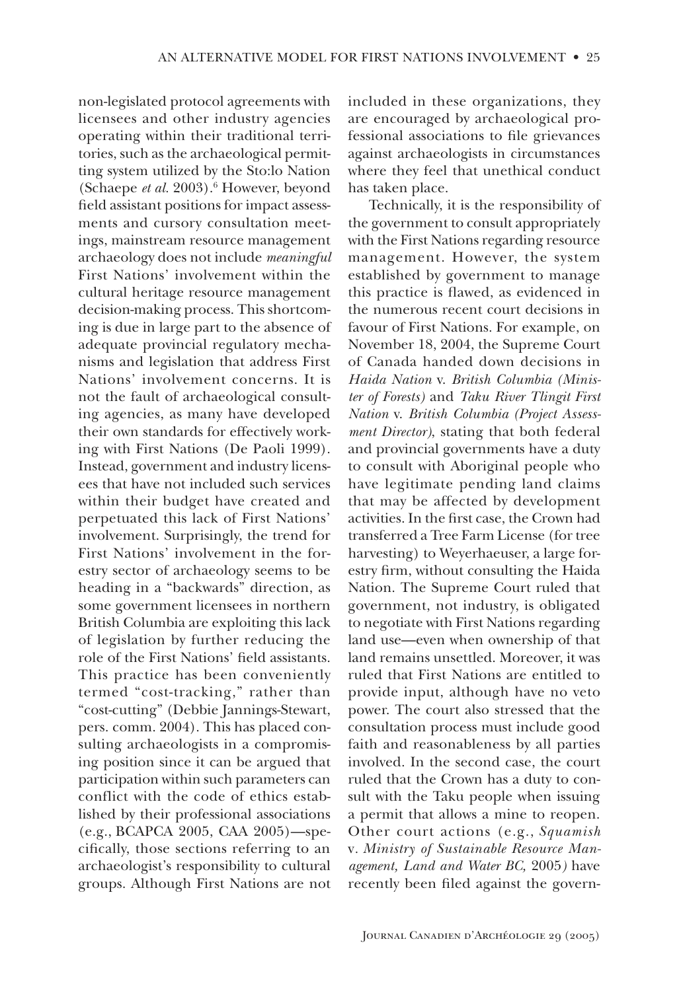non-legislated protocol agreements with licensees and other industry agencies operating within their traditional territories, such as the archaeological permitting system utilized by the Sto:lo Nation (Schaepe et al. 2003).<sup>6</sup> However, beyond field assistant positions for impact assessments and cursory consultation meetings, mainstream resource management archaeology does not include meaningful First Nations' involvement within the cultural heritage resource management decision-making process. This shortcoming is due in large part to the absence of adequate provincial regulatory mechanisms and legislation that address First Nations' involvement concerns. It is not the fault of archaeological consulting agencies, as many have developed their own standards for effectively working with First Nations (De Paoli 1999). Instead, government and industry licensees that have not included such services within their budget have created and perpetuated this lack of First Nations' involvement. Surprisingly, the trend for First Nations' involvement in the forestry sector of archaeology seems to be heading in a "backwards" direction, as some government licensees in northern British Columbia are exploiting this lack of legislation by further reducing the role of the First Nations' field assistants. This practice has been conveniently termed "cost-tracking," rather than "cost-cutting" (Debbie Jannings-Stewart, pers. comm. 2004). This has placed consulting archaeologists in a compromising position since it can be argued that participation within such parameters can conflict with the code of ethics established by their professional associations (e.g., BCAPCA 2005, CAA 2005)—specifically, those sections referring to an archaeologist's responsibility to cultural groups. Although First Nations are not

included in these organizations, they are encouraged by archaeological professional associations to file grievances against archaeologists in circumstances where they feel that unethical conduct has taken place.

Technically, it is the responsibility of the government to consult appropriately with the First Nations regarding resource management. However, the system established by government to manage this practice is flawed, as evidenced in the numerous recent court decisions in favour of First Nations. For example, on November 18, 2004, the Supreme Court of Canada handed down decisions in Haida Nation v. British Columbia (Minister of Forests) and Taku River Tlingit First Nation v. British Columbia (Project Assessment Director), stating that both federal and provincial governments have a duty to consult with Aboriginal people who have legitimate pending land claims that may be affected by development activities. In the first case, the Crown had transferred a Tree Farm License (for tree harvesting) to Weyerhaeuser, a large forestry firm, without consulting the Haida Nation. The Supreme Court ruled that government, not industry, is obligated to negotiate with First Nations regarding land use—even when ownership of that land remains unsettled. Moreover, it was ruled that First Nations are entitled to provide input, although have no veto power. The court also stressed that the consultation process must include good faith and reasonableness by all parties involved. In the second case, the court ruled that the Crown has a duty to consult with the Taku people when issuing a permit that allows a mine to reopen. Other court actions (e.g., Squamish v. Ministry of Sustainable Resource Management, Land and Water BC, 2005) have recently been filed against the govern-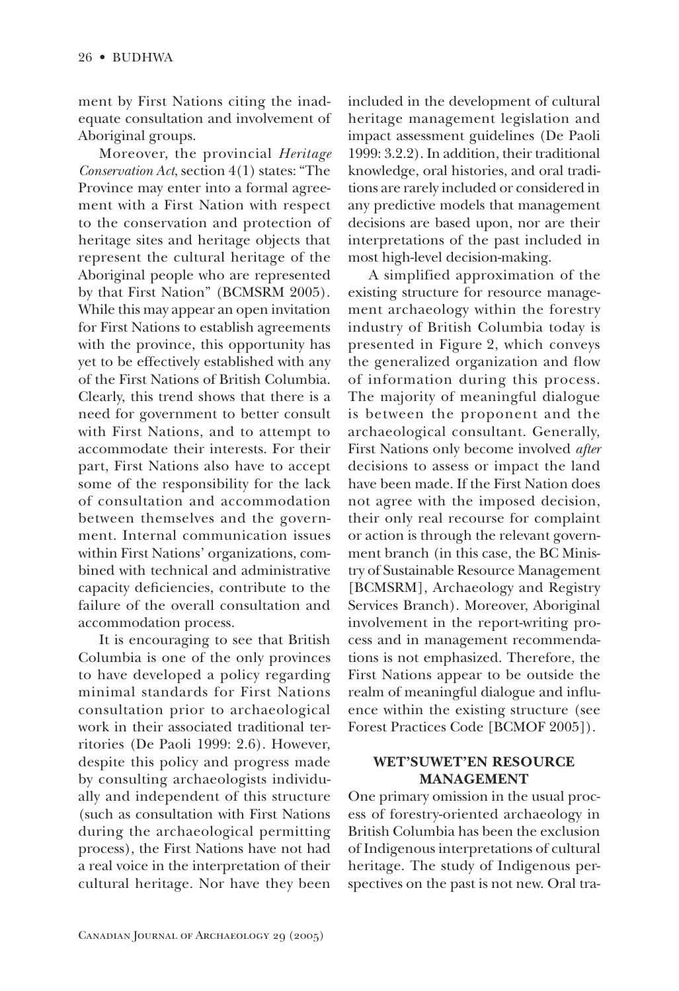ment by First Nations citing the inadequate consultation and involvement of Aboriginal groups.

Moreover, the provincial Heritage Conservation Act, section 4(1) states: "The Province may enter into a formal agreement with a First Nation with respect to the conservation and protection of heritage sites and heritage objects that represent the cultural heritage of the Aboriginal people who are represented by that First Nation" (BCMSRM 2005). While this may appear an open invitation for First Nations to establish agreements with the province, this opportunity has vet to be effectively established with any of the First Nations of British Columbia. Clearly, this trend shows that there is a need for government to better consult with First Nations, and to attempt to accommodate their interests. For their part, First Nations also have to accept some of the responsibility for the lack of consultation and accommodation between themselves and the government. Internal communication issues within First Nations' organizations, combined with technical and administrative capacity deficiencies, contribute to the failure of the overall consultation and accommodation process.

It is encouraging to see that British Columbia is one of the only provinces to have developed a policy regarding minimal standards for First Nations consultation prior to archaeological work in their associated traditional territories (De Paoli 1999: 2.6). However, despite this policy and progress made by consulting archaeologists individually and independent of this structure (such as consultation with First Nations) during the archaeological permitting process), the First Nations have not had a real voice in the interpretation of their cultural heritage. Nor have they been included in the development of cultural heritage management legislation and impact assessment guidelines (De Paoli 1999: 3.2.2). In addition, their traditional knowledge, oral histories, and oral traditions are rarely included or considered in any predictive models that management decisions are based upon, nor are their interpretations of the past included in most high-level decision-making.

A simplified approximation of the existing structure for resource management archaeology within the forestry industry of British Columbia today is presented in Figure 2, which conveys the generalized organization and flow of information during this process. The majority of meaningful dialogue is between the proponent and the archaeological consultant. Generally, First Nations only become involved after decisions to assess or impact the land have been made. If the First Nation does not agree with the imposed decision, their only real recourse for complaint or action is through the relevant government branch (in this case, the BC Ministry of Sustainable Resource Management [BCMSRM], Archaeology and Registry Services Branch). Moreover, Aboriginal involvement in the report-writing process and in management recommendations is not emphasized. Therefore, the First Nations appear to be outside the realm of meaningful dialogue and influence within the existing structure (see Forest Practices Code [BCMOF 2005]).

# **WET'SUWET'EN RESOURCE MANAGEMENT**

One primary omission in the usual process of forestry-oriented archaeology in British Columbia has been the exclusion of Indigenous interpretations of cultural heritage. The study of Indigenous perspectives on the past is not new. Oral tra-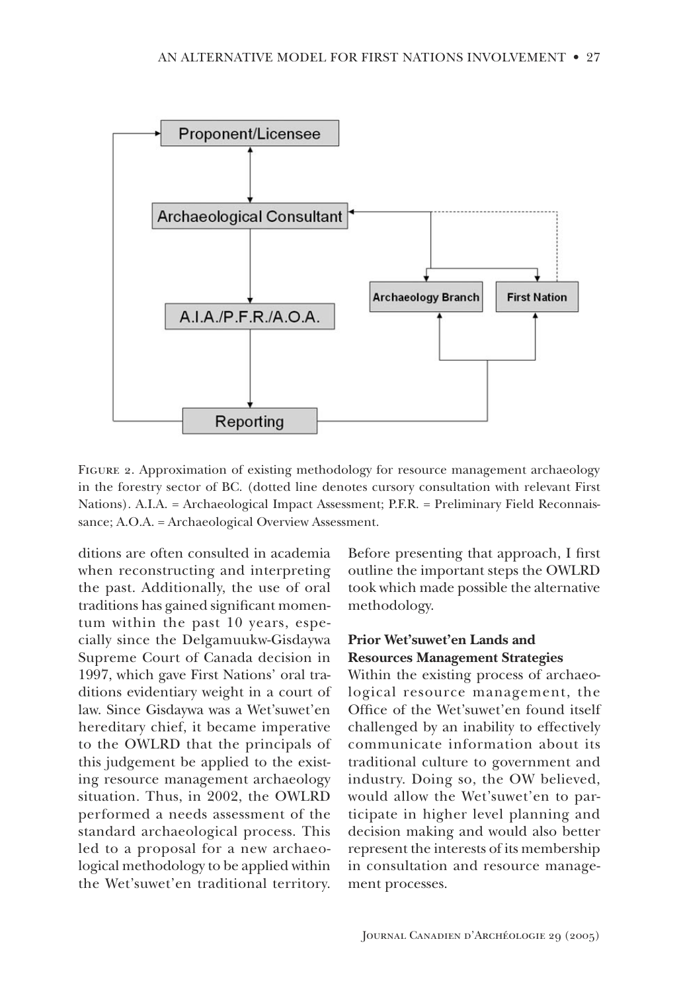

FIGURE 2. Approximation of existing methodology for resource management archaeology in the forestry sector of BC. (dotted line denotes cursory consultation with relevant First Nations). A.I.A. = Archaeological Impact Assessment; P.F.R. = Preliminary Field Reconnaissance; A.O.A. = Archaeological Overview Assessment.

ditions are often consulted in academia when reconstructing and interpreting the past. Additionally, the use of oral traditions has gained significant momentum within the past 10 years, especially since the Delgamuukw-Gisdaywa Supreme Court of Canada decision in 1997, which gave First Nations' oral traditions evidentiary weight in a court of law. Since Gisdaywa was a Wet'suwet'en hereditary chief, it became imperative to the OWLRD that the principals of this judgement be applied to the existing resource management archaeology situation. Thus, in 2002, the OWLRD performed a needs assessment of the standard archaeological process. This led to a proposal for a new archaeological methodology to be applied within the Wet'suwet'en traditional territory.

Before presenting that approach, I first outline the important steps the OWLRD took which made possible the alternative methodology.

# Prior Wet'suwet'en Lands and **Resources Management Strategies**

Within the existing process of archaeological resource management, the Office of the Wet'suwet'en found itself challenged by an inability to effectively communicate information about its traditional culture to government and industry. Doing so, the OW believed, would allow the Wet'suwet'en to participate in higher level planning and decision making and would also better represent the interests of its membership in consultation and resource management processes.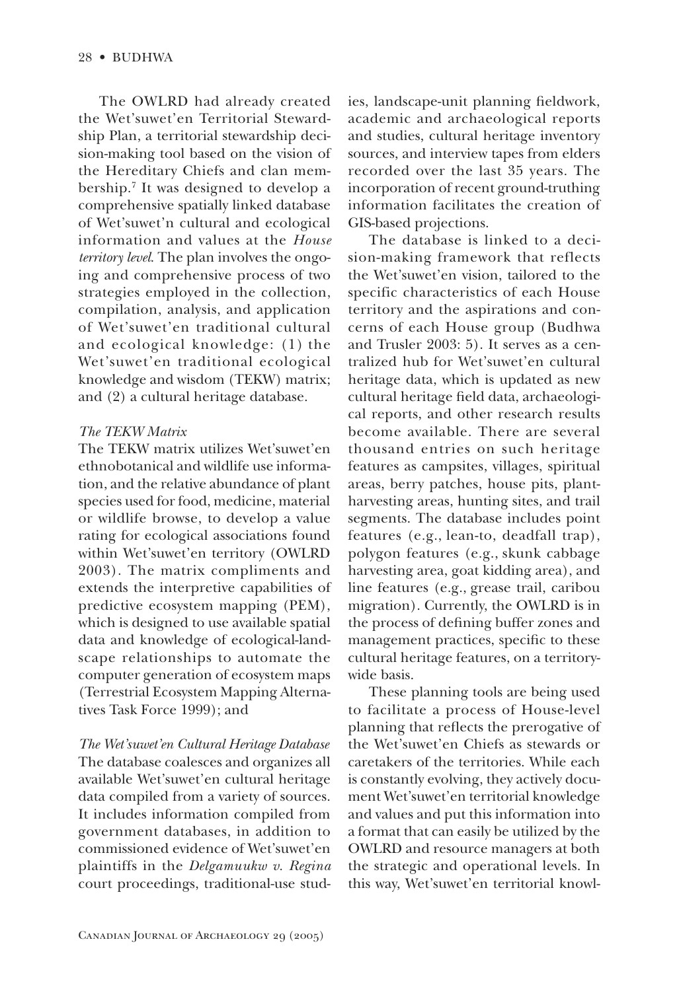The OWLRD had already created the Wet'suwet'en Territorial Stewardship Plan, a territorial stewardship decision-making tool based on the vision of the Hereditary Chiefs and clan membership.<sup>7</sup> It was designed to develop a comprehensive spatially linked database of Wet'suwet'n cultural and ecological information and values at the *House* territory level. The plan involves the ongoing and comprehensive process of two strategies employed in the collection, compilation, analysis, and application of Wet'suwet'en traditional cultural and ecological knowledge: (1) the Wet'suwet'en traditional ecological knowledge and wisdom (TEKW) matrix; and (2) a cultural heritage database.

#### The TEKW Matrix

The TEKW matrix utilizes Wet'suwet'en ethnobotanical and wildlife use information, and the relative abundance of plant species used for food, medicine, material or wildlife browse, to develop a value rating for ecological associations found within Wet'suwet'en territory (OWLRD 2003). The matrix compliments and extends the interpretive capabilities of predictive ecosystem mapping (PEM), which is designed to use available spatial data and knowledge of ecological-landscape relationships to automate the computer generation of ecosystem maps (Terrestrial Ecosystem Mapping Alternatives Task Force 1999); and

The Wet'suwet'en Cultural Heritage Database The database coalesces and organizes all available Wet'suwet'en cultural heritage data compiled from a variety of sources. It includes information compiled from government databases, in addition to commissioned evidence of Wet'suwet'en plaintiffs in the Delgamuukw v. Regina court proceedings, traditional-use studies, landscape-unit planning fieldwork, academic and archaeological reports and studies, cultural heritage inventory sources, and interview tapes from elders recorded over the last 35 years. The incorporation of recent ground-truthing information facilitates the creation of GIS-based projections.

The database is linked to a decision-making framework that reflects the Wet'suwet'en vision, tailored to the specific characteristics of each House territory and the aspirations and concerns of each House group (Budhwa and Trusler 2003: 5). It serves as a centralized hub for Wet'suwet'en cultural heritage data, which is updated as new cultural heritage field data, archaeological reports, and other research results become available. There are several thousand entries on such heritage features as campsites, villages, spiritual areas, berry patches, house pits, plantharvesting areas, hunting sites, and trail segments. The database includes point features (e.g., lean-to, deadfall trap), polygon features (e.g., skunk cabbage harvesting area, goat kidding area), and line features (e.g., grease trail, caribou migration). Currently, the OWLRD is in the process of defining buffer zones and management practices, specific to these cultural heritage features, on a territorywide basis.

These planning tools are being used to facilitate a process of House-level planning that reflects the prerogative of the Wet'suwet'en Chiefs as stewards or caretakers of the territories. While each is constantly evolving, they actively document Wet'suwet'en territorial knowledge and values and put this information into a format that can easily be utilized by the OWLRD and resource managers at both the strategic and operational levels. In this way, Wet'suwet'en territorial knowl-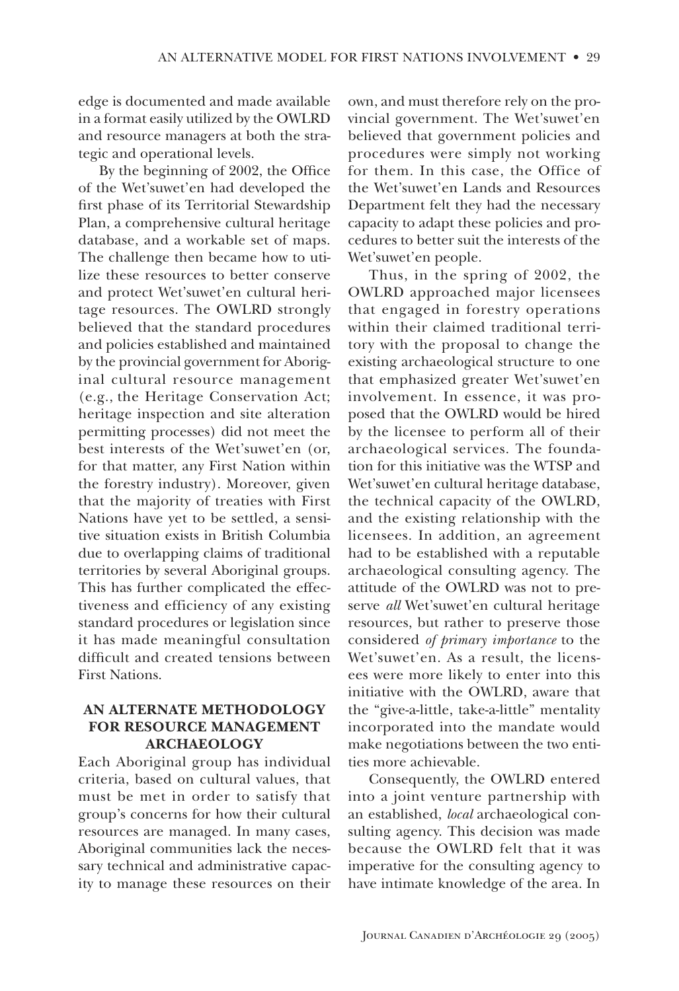edge is documented and made available in a format easily utilized by the OWLRD and resource managers at both the strategic and operational levels.

By the beginning of 2002, the Office of the Wet'suwet'en had developed the first phase of its Territorial Stewardship Plan, a comprehensive cultural heritage database, and a workable set of maps. The challenge then became how to utilize these resources to better conserve and protect Wet'suwet'en cultural heritage resources. The OWLRD strongly believed that the standard procedures and policies established and maintained by the provincial government for Aboriginal cultural resource management (e.g., the Heritage Conservation Act; heritage inspection and site alteration permitting processes) did not meet the best interests of the Wet'suwet'en (or, for that matter, any First Nation within the forestry industry). Moreover, given that the majority of treaties with First Nations have vet to be settled, a sensitive situation exists in British Columbia due to overlapping claims of traditional territories by several Aboriginal groups. This has further complicated the effectiveness and efficiency of any existing standard procedures or legislation since it has made meaningful consultation difficult and created tensions between **First Nations** 

# AN ALTERNATE METHODOLOGY **FOR RESOURCE MANAGEMENT ARCHAEOLOGY**

Each Aboriginal group has individual criteria, based on cultural values, that must be met in order to satisfy that group's concerns for how their cultural resources are managed. In many cases, Aboriginal communities lack the necessary technical and administrative capacity to manage these resources on their

own, and must therefore rely on the provincial government. The Wet'suwet'en believed that government policies and procedures were simply not working for them. In this case, the Office of the Wet'suwet'en Lands and Resources Department felt they had the necessary capacity to adapt these policies and procedures to better suit the interests of the Wet'suwet'en people.

Thus, in the spring of 2002, the OWLRD approached major licensees that engaged in forestry operations within their claimed traditional territory with the proposal to change the existing archaeological structure to one that emphasized greater Wet'suwet'en involvement. In essence, it was proposed that the OWLRD would be hired by the licensee to perform all of their archaeological services. The foundation for this initiative was the WTSP and Wet'suwet'en cultural heritage database, the technical capacity of the OWLRD, and the existing relationship with the licensees. In addition, an agreement had to be established with a reputable archaeological consulting agency. The attitude of the OWLRD was not to preserve all Wet'suwet'en cultural heritage resources, but rather to preserve those considered of primary importance to the Wet'suwet'en. As a result, the licensees were more likely to enter into this initiative with the OWLRD, aware that the "give-a-little, take-a-little" mentality incorporated into the mandate would make negotiations between the two entities more achievable.

Consequently, the OWLRD entered into a joint venture partnership with an established, local archaeological consulting agency. This decision was made because the OWLRD felt that it was imperative for the consulting agency to have intimate knowledge of the area. In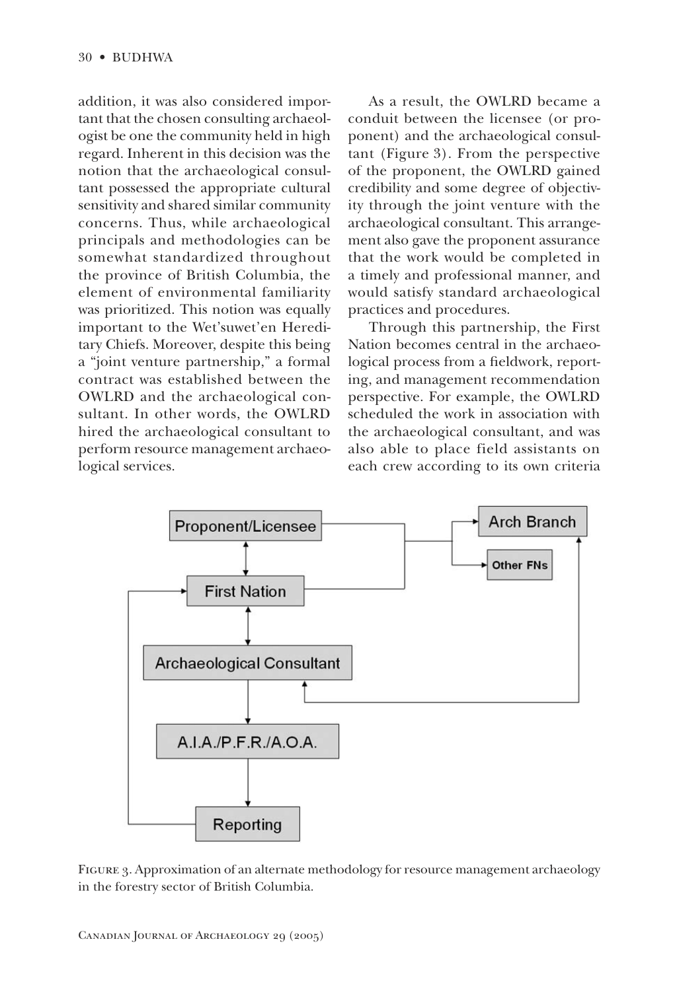addition, it was also considered important that the chosen consulting archaeologist be one the community held in high regard. Inherent in this decision was the notion that the archaeological consultant possessed the appropriate cultural sensitivity and shared similar community concerns. Thus, while archaeological principals and methodologies can be somewhat standardized throughout the province of British Columbia, the element of environmental familiarity was prioritized. This notion was equally important to the Wet'suwet'en Hereditary Chiefs. Moreover, despite this being a "joint venture partnership," a formal contract was established between the OWLRD and the archaeological consultant. In other words, the OWLRD hired the archaeological consultant to perform resource management archaeological services.

As a result, the OWLRD became a conduit between the licensee (or proponent) and the archaeological consultant (Figure 3). From the perspective of the proponent, the OWLRD gained credibility and some degree of objectivity through the joint venture with the archaeological consultant. This arrangement also gave the proponent assurance that the work would be completed in a timely and professional manner, and would satisfy standard archaeological practices and procedures.

Through this partnership, the First Nation becomes central in the archaeological process from a fieldwork, reporting, and management recommendation perspective. For example, the OWLRD scheduled the work in association with the archaeological consultant, and was also able to place field assistants on each crew according to its own criteria



FIGURE 3. Approximation of an alternate methodology for resource management archaeology in the forestry sector of British Columbia.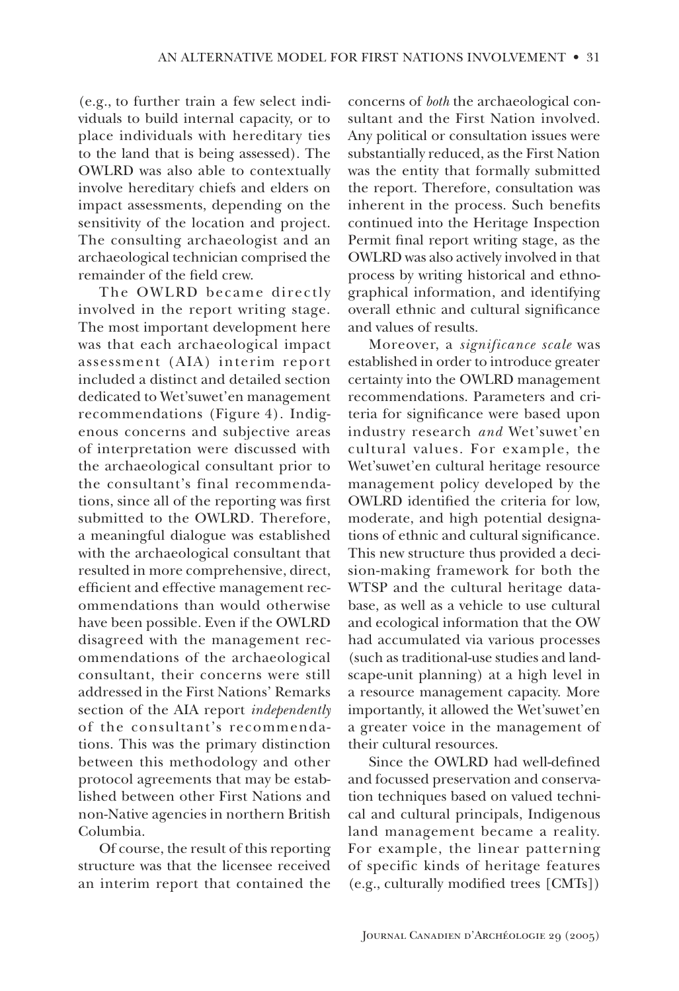(e.g., to further train a few select individuals to build internal capacity, or to place individuals with hereditary ties to the land that is being assessed). The OWLRD was also able to contextually involve hereditary chiefs and elders on impact assessments, depending on the sensitivity of the location and project. The consulting archaeologist and an archaeological technician comprised the remainder of the field crew.

The OWLRD became directly involved in the report writing stage. The most important development here was that each archaeological impact assessment (AIA) interim report included a distinct and detailed section dedicated to Wet'suwet'en management recommendations (Figure 4). Indigenous concerns and subjective areas of interpretation were discussed with the archaeological consultant prior to the consultant's final recommendations, since all of the reporting was first submitted to the OWLRD. Therefore, a meaningful dialogue was established with the archaeological consultant that resulted in more comprehensive, direct, efficient and effective management recommendations than would otherwise have been possible. Even if the OWLRD disagreed with the management recommendations of the archaeological consultant, their concerns were still addressed in the First Nations' Remarks section of the AIA report *independently* of the consultant's recommendations. This was the primary distinction between this methodology and other protocol agreements that may be established between other First Nations and non-Native agencies in northern British Columbia.

Of course, the result of this reporting structure was that the licensee received an interim report that contained the concerns of *both* the archaeological consultant and the First Nation involved. Any political or consultation issues were substantially reduced, as the First Nation was the entity that formally submitted the report. Therefore, consultation was inherent in the process. Such benefits continued into the Heritage Inspection Permit final report writing stage, as the OWLRD was also actively involved in that process by writing historical and ethnographical information, and identifying overall ethnic and cultural significance and values of results.

Moreover, a significance scale was established in order to introduce greater certainty into the OWLRD management recommendations. Parameters and criteria for significance were based upon industry research and Wet'suwet'en cultural values. For example, the Wet'suwet'en cultural heritage resource management policy developed by the OWLRD identified the criteria for low. moderate, and high potential designations of ethnic and cultural significance. This new structure thus provided a decision-making framework for both the WTSP and the cultural heritage database, as well as a vehicle to use cultural and ecological information that the OW had accumulated via various processes (such as traditional-use studies and landscape-unit planning) at a high level in a resource management capacity. More importantly, it allowed the Wet'suwet'en a greater voice in the management of their cultural resources.

Since the OWLRD had well-defined and focussed preservation and conservation techniques based on valued technical and cultural principals, Indigenous land management became a reality. For example, the linear patterning of specific kinds of heritage features (e.g., culturally modified trees [CMTs])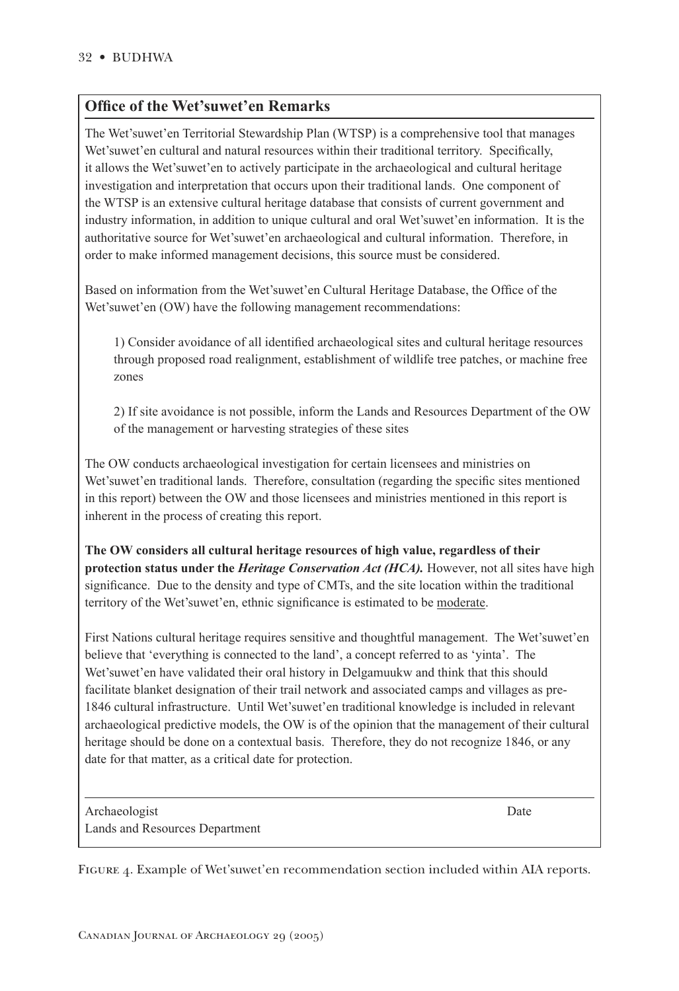# **Office of the Wet'suwet'en Remarks**

The Wet'suwet'en Territorial Stewardship Plan (WTSP) is a comprehensive tool that manages Wet'suwet'en cultural and natural resources within their traditional territory. Specifically, it allows the Wet'suwet'en to actively participate in the archaeological and cultural heritage investigation and interpretation that occurs upon their traditional lands. One component of the WTSP is an extensive cultural heritage database that consists of current government and industry information, in addition to unique cultural and oral Wet'suwet'en information. It is the authoritative source for Wet'suwet'en archaeological and cultural information. Therefore, in order to make informed management decisions, this source must be considered.

Based on information from the Wet'suwet'en Cultural Heritage Database, the Office of the Wet'suwet'en (OW) have the following management recommendations:

1) Consider avoidance of all identified archaeological sites and cultural heritage resources through proposed road realignment, establishment of wildlife tree patches, or machine free zones

2) If site avoidance is not possible, inform the Lands and Resources Department of the OW of the management or harvesting strategies of these sites

The OW conducts archaeological investigation for certain licensees and ministries on Wet'suwet'en traditional lands. Therefore, consultation (regarding the specific sites mentioned in this report) between the OW and those licensees and ministries mentioned in this report is inherent in the process of creating this report.

**The OW considers all cultural heritage resources of high value, regardless of their protection status under the** *Heritage Conservation Act (HCA).* However, not all sites have high significance. Due to the density and type of CMTs, and the site location within the traditional territory of the Wet'suwet'en, ethnic signicance is estimated to be moderate.

First Nations cultural heritage requires sensitive and thoughtful management. The Wet'suwet'en believe that 'everything is connected to the land', a concept referred to as 'yinta'. The Wet'suwet'en have validated their oral history in Delgamuukw and think that this should facilitate blanket designation of their trail network and associated camps and villages as pre-1846 cultural infrastructure. Until Wet'suwet'en traditional knowledge is included in relevant archaeological predictive models, the OW is of the opinion that the management of their cultural heritage should be done on a contextual basis. Therefore, they do not recognize 1846, or any date for that matter, as a critical date for protection.

Archaeologist Date **Date** Lands and Resources Department

FIGURE 4. Example of Wet'suwet'en recommendation section included within AIA reports.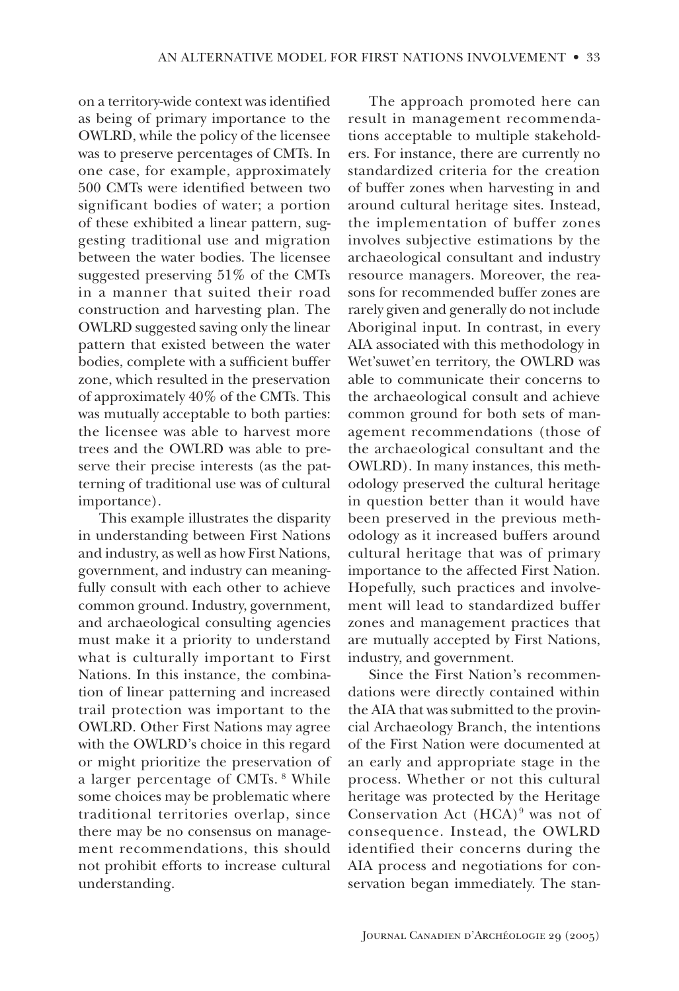on a territory-wide context was identified as being of primary importance to the OWLRD, while the policy of the licensee was to preserve percentages of CMTs. In one case, for example, approximately 500 CMTs were identified between two significant bodies of water; a portion of these exhibited a linear pattern, suggesting traditional use and migration between the water bodies. The licensee suggested preserving  $51\%$  of the CMTs in a manner that suited their road construction and harvesting plan. The OWLRD suggested saving only the linear pattern that existed between the water bodies, complete with a sufficient buffer zone, which resulted in the preservation of approximately  $40\%$  of the CMTs. This was mutually acceptable to both parties: the licensee was able to harvest more trees and the OWLRD was able to preserve their precise interests (as the patterning of traditional use was of cultural importance).

This example illustrates the disparity in understanding between First Nations and industry, as well as how First Nations, government, and industry can meaningfully consult with each other to achieve common ground. Industry, government, and archaeological consulting agencies must make it a priority to understand what is culturally important to First Nations. In this instance, the combination of linear patterning and increased trail protection was important to the **OWLRD.** Other First Nations may agree with the OWLRD's choice in this regard or might prioritize the preservation of a larger percentage of CMTs. <sup>8</sup> While some choices may be problematic where traditional territories overlap, since there may be no consensus on management recommendations, this should not prohibit efforts to increase cultural understanding.

The approach promoted here can result in management recommendations acceptable to multiple stakeholders. For instance, there are currently no standardized criteria for the creation of buffer zones when harvesting in and around cultural heritage sites. Instead, the implementation of buffer zones involves subjective estimations by the archaeological consultant and industry resource managers. Moreover, the reasons for recommended buffer zones are rarely given and generally do not include Aboriginal input. In contrast, in every AIA associated with this methodology in Wet'suwet'en territory, the OWLRD was able to communicate their concerns to the archaeological consult and achieve common ground for both sets of management recommendations (those of the archaeological consultant and the OWLRD). In many instances, this methodology preserved the cultural heritage in question better than it would have been preserved in the previous methodology as it increased buffers around cultural heritage that was of primary importance to the affected First Nation. Hopefully, such practices and involvement will lead to standardized buffer zones and management practices that are mutually accepted by First Nations, industry, and government.

Since the First Nation's recommendations were directly contained within the AIA that was submitted to the provincial Archaeology Branch, the intentions of the First Nation were documented at an early and appropriate stage in the process. Whether or not this cultural heritage was protected by the Heritage Conservation Act  $(HCA)^9$  was not of consequence. Instead, the OWLRD identified their concerns during the AIA process and negotiations for conservation began immediately. The stan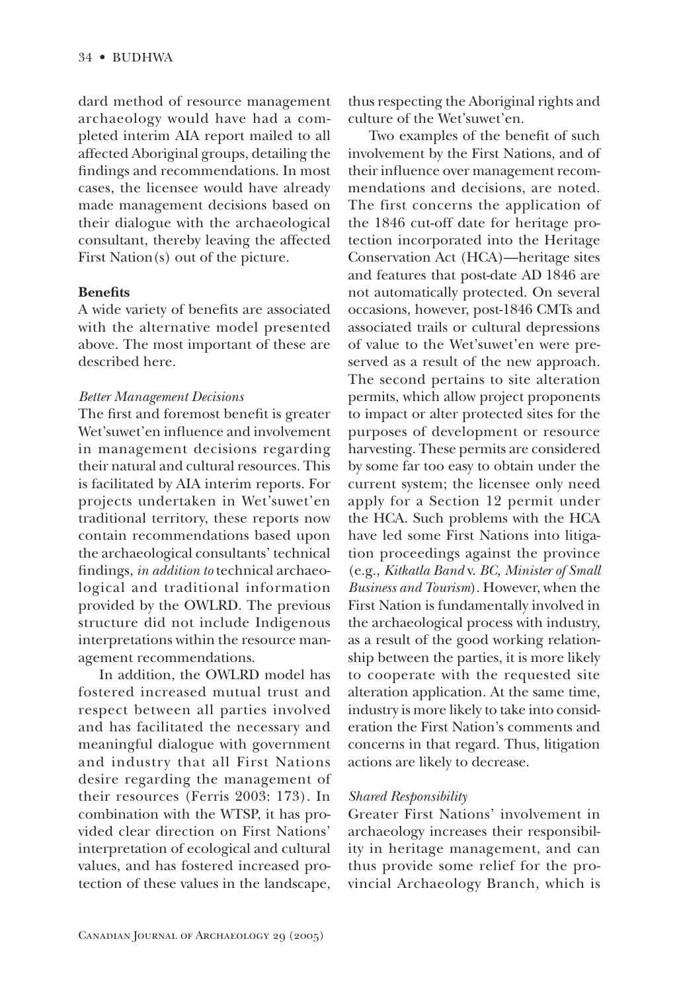dard method of resource management archaeology would have had a completed interim AIA report mailed to all affected Aboriginal groups, detailing the findings and recommendations. In most cases, the licensee would have already made management decisions based on their dialogue with the archaeological consultant, thereby leaving the affected First Nation(s) out of the picture.

#### **Benefits**

A wide variety of benefits are associated with the alternative model presented above. The most important of these are described here.

#### **Better Management Decisions**

The first and foremost benefit is greater Wet'suwet'en influence and involvement in management decisions regarding their natural and cultural resources. This is facilitated by AIA interim reports. For projects undertaken in Wet'suwet'en traditional territory, these reports now contain recommendations based upon the archaeological consultants' technical findings, in addition to technical archaeological and traditional information provided by the OWLRD. The previous structure did not include Indigenous interpretations within the resource management recommendations.

In addition, the OWLRD model has fostered increased mutual trust and respect between all parties involved and has facilitated the necessary and meaningful dialogue with government and industry that all First Nations desire regarding the management of their resources (Ferris 2003: 173). In combination with the WTSP, it has provided clear direction on First Nations' interpretation of ecological and cultural values, and has fostered increased protection of these values in the landscape,

thus respecting the Aboriginal rights and culture of the Wet'suwet'en.

Two examples of the benefit of such involvement by the First Nations, and of their influence over management recommendations and decisions, are noted. The first concerns the application of the 1846 cut-off date for heritage protection incorporated into the Heritage Conservation Act (HCA)—heritage sites and features that post-date AD 1846 are not automatically protected. On several occasions, however, post-1846 CMTs and associated trails or cultural depressions of value to the Wet'suwet'en were preserved as a result of the new approach. The second pertains to site alteration permits, which allow project proponents to impact or alter protected sites for the purposes of development or resource harvesting. These permits are considered by some far too easy to obtain under the current system; the licensee only need apply for a Section 12 permit under the HCA. Such problems with the HCA have led some First Nations into litigation proceedings against the province (e.g., Kitkatla Band v. BC, Minister of Small Business and Tourism). However, when the First Nation is fundamentally involved in the archaeological process with industry, as a result of the good working relationship between the parties, it is more likely to cooperate with the requested site alteration application. At the same time, industry is more likely to take into consideration the First Nation's comments and concerns in that regard. Thus, litigation actions are likely to decrease.

#### Shared Responsibility

Greater First Nations' involvement in archaeology increases their responsibility in heritage management, and can thus provide some relief for the provincial Archaeology Branch, which is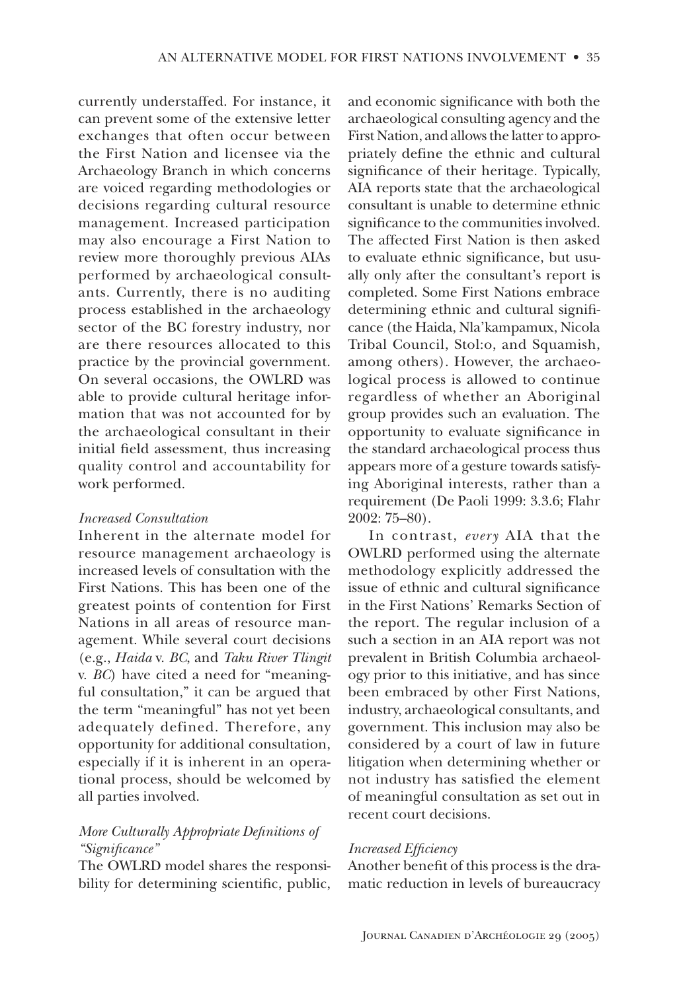currently understaffed. For instance, it can prevent some of the extensive letter exchanges that often occur between the First Nation and licensee via the Archaeology Branch in which concerns are voiced regarding methodologies or decisions regarding cultural resource management. Increased participation may also encourage a First Nation to review more thoroughly previous AIAs performed by archaeological consultants. Currently, there is no auditing process established in the archaeology sector of the BC forestry industry, nor are there resources allocated to this practice by the provincial government. On several occasions, the OWLRD was able to provide cultural heritage information that was not accounted for by the archaeological consultant in their initial field assessment, thus increasing quality control and accountability for work performed.

## **Increased Consultation**

Inherent in the alternate model for resource management archaeology is increased levels of consultation with the First Nations. This has been one of the greatest points of contention for First Nations in all areas of resource management. While several court decisions (e.g., Haida v. BC, and Taku River Tlingit v. BC) have cited a need for "meaningful consultation," it can be argued that the term "meaningful" has not yet been adequately defined. Therefore, any opportunity for additional consultation, especially if it is inherent in an operational process, should be welcomed by all parties involved.

# More Culturally Appropriate Definitions of "Significance"

The OWLRD model shares the responsibility for determining scientific, public,

and economic significance with both the archaeological consulting agency and the First Nation, and allows the latter to appropriately define the ethnic and cultural significance of their heritage. Typically, AIA reports state that the archaeological consultant is unable to determine ethnic significance to the communities involved. The affected First Nation is then asked to evaluate ethnic significance, but usually only after the consultant's report is completed. Some First Nations embrace determining ethnic and cultural significance (the Haida, Nla'kampamux, Nicola Tribal Council, Stol:o, and Squamish, among others). However, the archaeological process is allowed to continue regardless of whether an Aboriginal group provides such an evaluation. The opportunity to evaluate significance in the standard archaeological process thus appears more of a gesture towards satisfying Aboriginal interests, rather than a requirement (De Paoli 1999: 3.3.6; Flahr  $2002:75 - 80$ ).

In contrast, every AIA that the OWLRD performed using the alternate methodology explicitly addressed the issue of ethnic and cultural significance in the First Nations' Remarks Section of the report. The regular inclusion of a such a section in an AIA report was not prevalent in British Columbia archaeology prior to this initiative, and has since been embraced by other First Nations, industry, archaeological consultants, and government. This inclusion may also be considered by a court of law in future litigation when determining whether or not industry has satisfied the element of meaningful consultation as set out in recent court decisions.

#### **Increased Efficiency**

Another benefit of this process is the dramatic reduction in levels of bureaucracy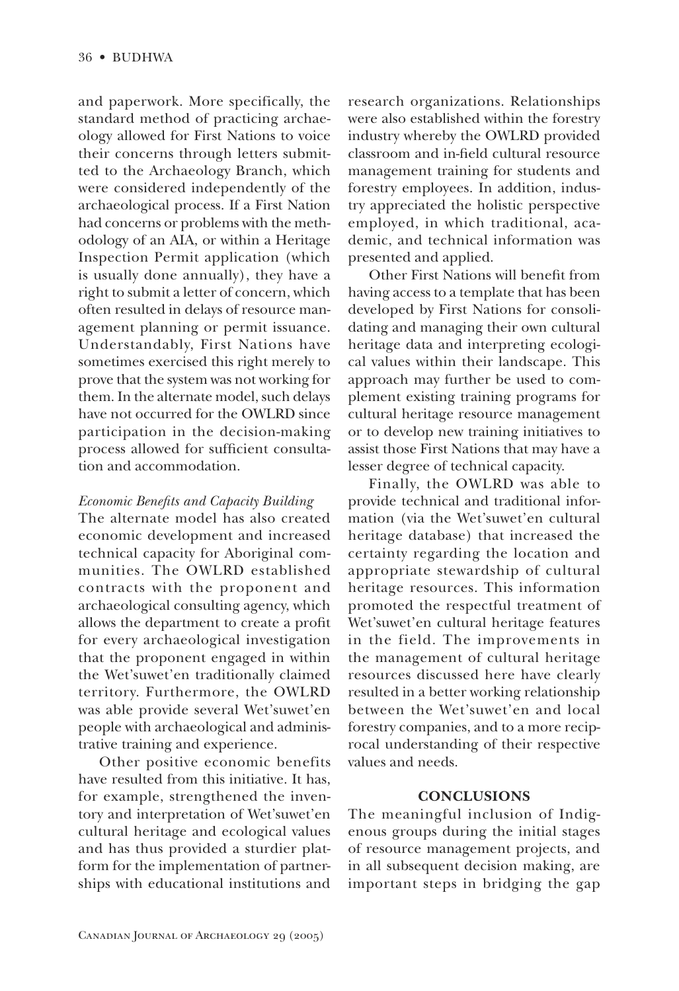and paperwork. More specifically, the standard method of practicing archaeology allowed for First Nations to voice their concerns through letters submitted to the Archaeology Branch, which were considered independently of the archaeological process. If a First Nation had concerns or problems with the methodology of an AIA, or within a Heritage Inspection Permit application (which is usually done annually), they have a right to submit a letter of concern, which often resulted in delays of resource management planning or permit issuance. Understandably, First Nations have sometimes exercised this right merely to prove that the system was not working for them. In the alternate model, such delays have not occurred for the OWLRD since participation in the decision-making process allowed for sufficient consultation and accommodation.

# Economic Benefits and Capacity Building

The alternate model has also created economic development and increased technical capacity for Aboriginal communities. The OWLRD established contracts with the proponent and archaeological consulting agency, which allows the department to create a profit for every archaeological investigation that the proponent engaged in within the Wet'suwet'en traditionally claimed territory. Furthermore, the OWLRD was able provide several Wet'suwet'en people with archaeological and administrative training and experience.

Other positive economic benefits have resulted from this initiative. It has, for example, strengthened the inventory and interpretation of Wet'suwet'en cultural heritage and ecological values and has thus provided a sturdier platform for the implementation of partnerships with educational institutions and research organizations. Relationships were also established within the forestry industry whereby the OWLRD provided classroom and in-field cultural resource management training for students and forestry employees. In addition, industry appreciated the holistic perspective employed, in which traditional, academic, and technical information was presented and applied.

Other First Nations will benefit from having access to a template that has been developed by First Nations for consolidating and managing their own cultural heritage data and interpreting ecological values within their landscape. This approach may further be used to complement existing training programs for cultural heritage resource management or to develop new training initiatives to assist those First Nations that may have a lesser degree of technical capacity.

Finally, the OWLRD was able to provide technical and traditional information (via the Wet'suwet'en cultural heritage database) that increased the certainty regarding the location and appropriate stewardship of cultural heritage resources. This information promoted the respectful treatment of Wet'suwet'en cultural heritage features in the field. The improvements in the management of cultural heritage resources discussed here have clearly resulted in a better working relationship between the Wet'suwet'en and local forestry companies, and to a more reciprocal understanding of their respective values and needs.

## **CONCLUSIONS**

The meaningful inclusion of Indigenous groups during the initial stages of resource management projects, and in all subsequent decision making, are important steps in bridging the gap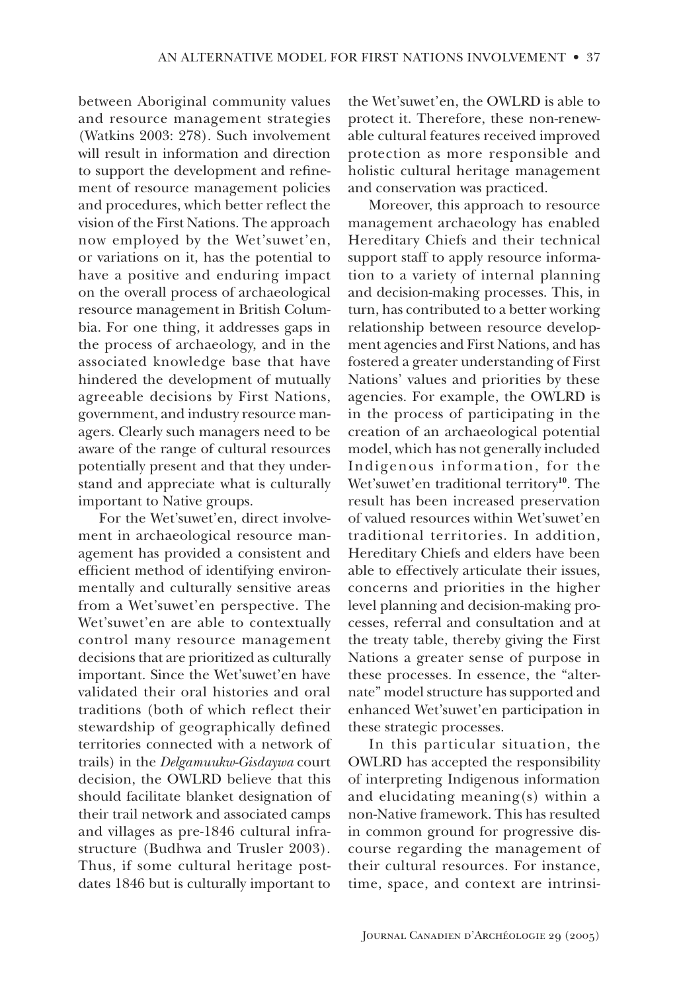between Aboriginal community values and resource management strategies (Watkins 2003: 278). Such involvement will result in information and direction to support the development and refinement of resource management policies and procedures, which better reflect the vision of the First Nations. The approach now employed by the Wet'suwet'en, or variations on it, has the potential to have a positive and enduring impact on the overall process of archaeological resource management in British Columbia. For one thing, it addresses gaps in the process of archaeology, and in the associated knowledge base that have hindered the development of mutually agreeable decisions by First Nations, government, and industry resource managers. Clearly such managers need to be aware of the range of cultural resources potentially present and that they understand and appreciate what is culturally important to Native groups.

For the Wet'suwet'en, direct involvement in archaeological resource management has provided a consistent and efficient method of identifying environmentally and culturally sensitive areas from a Wet'suwet'en perspective. The Wet'suwet'en are able to contextually control many resource management decisions that are prioritized as culturally important. Since the Wet'suwet'en have validated their oral histories and oral traditions (both of which reflect their stewardship of geographically defined territories connected with a network of trails) in the Delgamuukw-Gisdaywa court decision, the OWLRD believe that this should facilitate blanket designation of their trail network and associated camps and villages as pre-1846 cultural infrastructure (Budhwa and Trusler 2003). Thus, if some cultural heritage postdates 1846 but is culturally important to

the Wet'suwet'en, the OWLRD is able to protect it. Therefore, these non-renewable cultural features received improved protection as more responsible and holistic cultural heritage management and conservation was practiced.

Moreover, this approach to resource management archaeology has enabled Hereditary Chiefs and their technical support staff to apply resource information to a variety of internal planning and decision-making processes. This, in turn, has contributed to a better working relationship between resource development agencies and First Nations, and has fostered a greater understanding of First Nations' values and priorities by these agencies. For example, the OWLRD is in the process of participating in the creation of an archaeological potential model, which has not generally included Indigenous information, for the Wet'suwet'en traditional territory<sup>10</sup>. The result has been increased preservation of valued resources within Wet'suwet'en traditional territories. In addition, Hereditary Chiefs and elders have been able to effectively articulate their issues, concerns and priorities in the higher level planning and decision-making processes, referral and consultation and at the treaty table, thereby giving the First Nations a greater sense of purpose in these processes. In essence, the "alternate" model structure has supported and enhanced Wet'suwet'en participation in these strategic processes.

In this particular situation, the OWLRD has accepted the responsibility of interpreting Indigenous information and elucidating meaning(s) within a non-Native framework. This has resulted in common ground for progressive discourse regarding the management of their cultural resources. For instance, time, space, and context are intrinsi-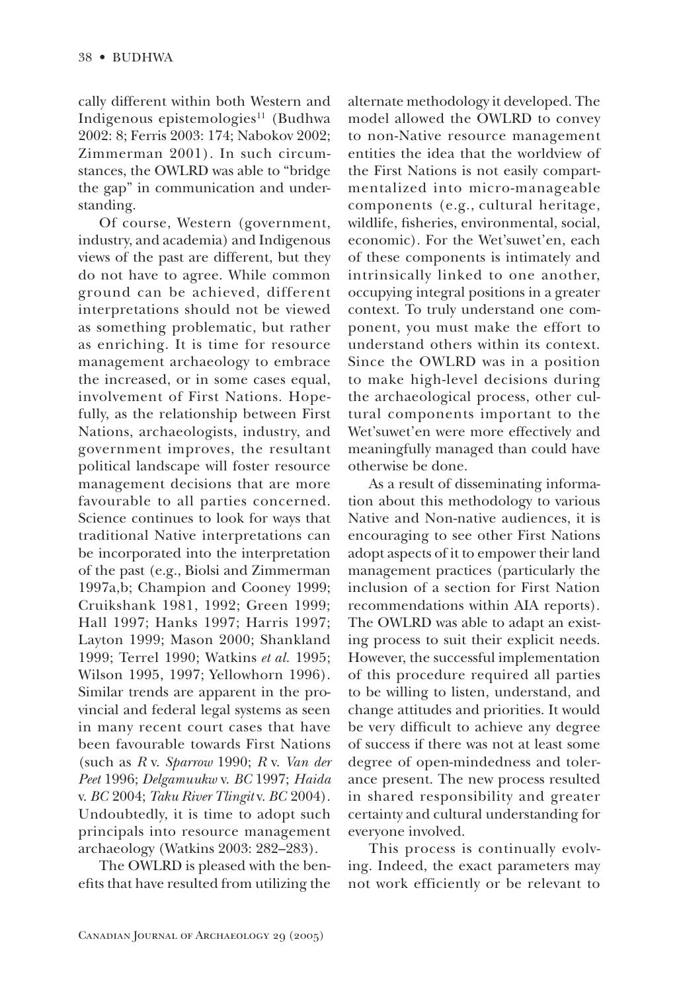cally different within both Western and Indigenous epistemologies<sup>11</sup> (Budhwa 2002: 8: Ferris 2003: 174: Nabokov 2002: Zimmerman 2001). In such circumstances, the OWLRD was able to "bridge" the gap" in communication and understanding.

Of course, Western (government, industry, and academia) and Indigenous views of the past are different, but they do not have to agree. While common ground can be achieved, different interpretations should not be viewed as something problematic, but rather as enriching. It is time for resource management archaeology to embrace the increased, or in some cases equal, involvement of First Nations. Hopefully, as the relationship between First Nations, archaeologists, industry, and government improves, the resultant political landscape will foster resource management decisions that are more favourable to all parties concerned. Science continues to look for ways that traditional Native interpretations can be incorporated into the interpretation of the past (e.g., Biolsi and Zimmerman 1997a,b; Champion and Cooney 1999; Cruikshank 1981, 1992; Green 1999; Hall 1997; Hanks 1997; Harris 1997; Layton 1999; Mason 2000; Shankland 1999; Terrel 1990; Watkins et al. 1995; Wilson 1995, 1997; Yellowhorn 1996). Similar trends are apparent in the provincial and federal legal systems as seen in many recent court cases that have been favourable towards First Nations (such as  $R$  v. Sparrow 1990;  $R$  v. Van der Peet 1996; Delgamuukw v. BC 1997; Haida v. BC 2004; Taku River Tlingit v. BC 2004). Undoubtedly, it is time to adopt such principals into resource management archaeology (Watkins 2003: 282-283).

The OWLRD is pleased with the benefits that have resulted from utilizing the alternate methodology it developed. The model allowed the OWLRD to convey to non-Native resource management entities the idea that the worldview of the First Nations is not easily compartmentalized into micro-manageable components (e.g., cultural heritage, wildlife, fisheries, environmental, social, economic). For the Wet'suwet'en, each of these components is intimately and intrinsically linked to one another, occupying integral positions in a greater context. To truly understand one component, you must make the effort to understand others within its context. Since the OWLRD was in a position to make high-level decisions during the archaeological process, other cultural components important to the Wet'suwet'en were more effectively and meaningfully managed than could have otherwise be done.

As a result of disseminating information about this methodology to various Native and Non-native audiences, it is encouraging to see other First Nations adopt aspects of it to empower their land management practices (particularly the inclusion of a section for First Nation recommendations within AIA reports). The OWLRD was able to adapt an existing process to suit their explicit needs. However, the successful implementation of this procedure required all parties to be willing to listen, understand, and change attitudes and priorities. It would be very difficult to achieve any degree of success if there was not at least some degree of open-mindedness and tolerance present. The new process resulted in shared responsibility and greater certainty and cultural understanding for everyone involved.

This process is continually evolving. Indeed, the exact parameters may not work efficiently or be relevant to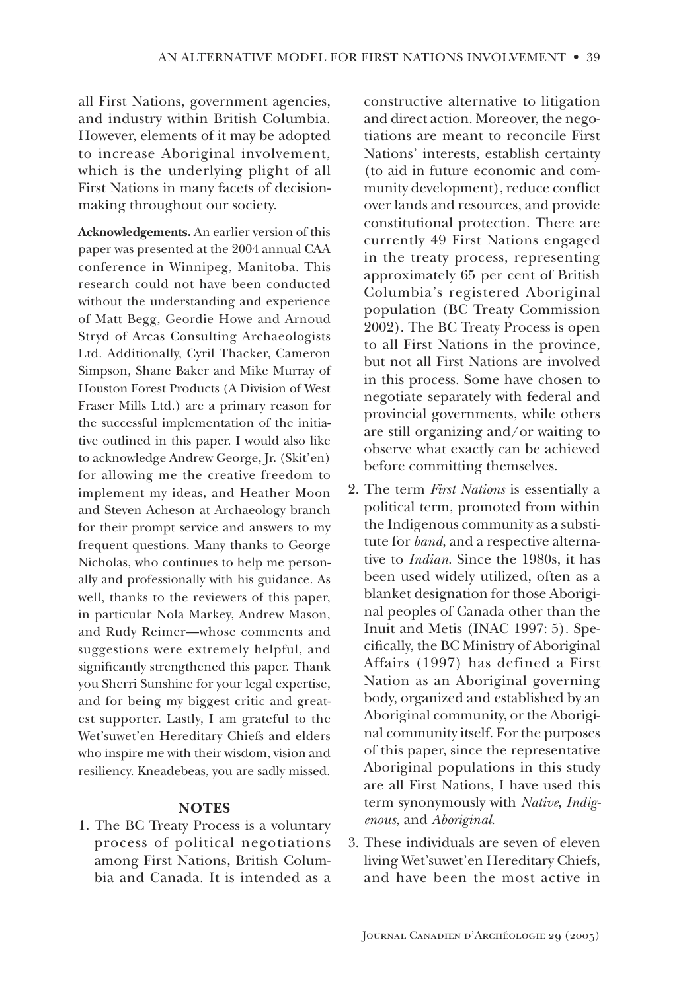all First Nations, government agencies, and industry within British Columbia. However, elements of it may be adopted to increase Aboriginal involvement, which is the underlying plight of all First Nations in many facets of decisionmaking throughout our society.

Acknowledgements. An earlier version of this paper was presented at the 2004 annual CAA conference in Winnipeg, Manitoba. This research could not have been conducted without the understanding and experience of Matt Begg, Geordie Howe and Arnoud Stryd of Arcas Consulting Archaeologists Ltd. Additionally, Cyril Thacker, Cameron Simpson, Shane Baker and Mike Murray of Houston Forest Products (A Division of West Fraser Mills Ltd.) are a primary reason for the successful implementation of the initiative outlined in this paper. I would also like to acknowledge Andrew George, Jr. (Skit'en) for allowing me the creative freedom to implement my ideas, and Heather Moon and Steven Acheson at Archaeology branch for their prompt service and answers to my frequent questions. Many thanks to George Nicholas, who continues to help me personally and professionally with his guidance. As well, thanks to the reviewers of this paper, in particular Nola Markey, Andrew Mason, and Rudy Reimer-whose comments and suggestions were extremely helpful, and significantly strengthened this paper. Thank you Sherri Sunshine for your legal expertise, and for being my biggest critic and greatest supporter. Lastly, I am grateful to the Wet'suwet'en Hereditary Chiefs and elders who inspire me with their wisdom, vision and resiliency. Kneadebeas, you are sadly missed.

#### **NOTES**

1. The BC Treaty Process is a voluntary process of political negotiations among First Nations, British Columbia and Canada. It is intended as a constructive alternative to litigation and direct action. Moreover, the negotiations are meant to reconcile First Nations' interests, establish certainty (to aid in future economic and community development), reduce conflict over lands and resources, and provide constitutional protection. There are currently 49 First Nations engaged in the treaty process, representing approximately 65 per cent of British Columbia's registered Aboriginal population (BC Treaty Commission 2002). The BC Treaty Process is open to all First Nations in the province, but not all First Nations are involved in this process. Some have chosen to negotiate separately with federal and provincial governments, while others are still organizing and/or waiting to observe what exactly can be achieved before committing themselves.

- 2. The term *First Nations* is essentially a political term, promoted from within the Indigenous community as a substitute for band, and a respective alternative to *Indian*. Since the 1980s, it has been used widely utilized, often as a blanket designation for those Aboriginal peoples of Canada other than the Inuit and Metis (INAC 1997: 5). Specifically, the BC Ministry of Aboriginal Affairs (1997) has defined a First Nation as an Aboriginal governing body, organized and established by an Aboriginal community, or the Aboriginal community itself. For the purposes of this paper, since the representative Aboriginal populations in this study are all First Nations, I have used this term synonymously with Native, Indigenous, and Aboriginal.
- 3. These individuals are seven of eleven living Wet'suwet'en Hereditary Chiefs, and have been the most active in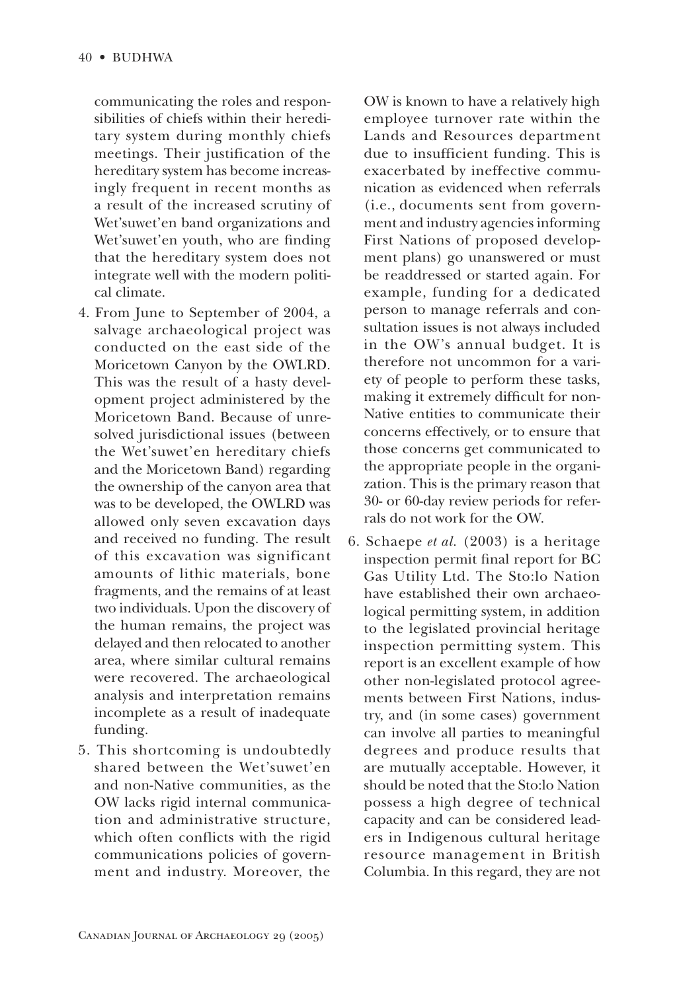communicating the roles and responsibilities of chiefs within their hereditary system during monthly chiefs meetings. Their justification of the hereditary system has become increasingly frequent in recent months as a result of the increased scrutiny of Wet'suwet'en band organizations and Wet'suwet'en youth, who are finding that the hereditary system does not integrate well with the modern political climate.

- 4. From June to September of 2004, a salvage archaeological project was conducted on the east side of the Moricetown Canyon by the OWLRD. This was the result of a hasty development project administered by the Moricetown Band. Because of unresolved jurisdictional issues (between the Wet'suwet'en hereditary chiefs and the Moricetown Band) regarding the ownership of the canyon area that was to be developed, the OWLRD was allowed only seven excavation days and received no funding. The result of this excavation was significant amounts of lithic materials, bone fragments, and the remains of at least two individuals. Upon the discovery of the human remains, the project was delayed and then relocated to another area, where similar cultural remains were recovered. The archaeological analysis and interpretation remains incomplete as a result of inadequate funding.
- 5. This shortcoming is undoubtedly shared between the Wet'suwet'en and non-Native communities, as the OW lacks rigid internal communication and administrative structure, which often conflicts with the rigid communications policies of government and industry. Moreover, the

OW is known to have a relatively high employee turnover rate within the Lands and Resources department due to insufficient funding. This is exacerbated by ineffective communication as evidenced when referrals (i.e., documents sent from government and industry agencies informing First Nations of proposed development plans) go unanswered or must be readdressed or started again. For example, funding for a dedicated person to manage referrals and consultation issues is not always included in the OW's annual budget. It is therefore not uncommon for a variety of people to perform these tasks, making it extremely difficult for non-Native entities to communicate their concerns effectively, or to ensure that those concerns get communicated to the appropriate people in the organization. This is the primary reason that 30- or 60-day review periods for referrals do not work for the OW.

6. Schaepe *et al.* (2003) is a heritage inspection permit final report for BC Gas Utility Ltd. The Sto:lo Nation have established their own archaeological permitting system, in addition to the legislated provincial heritage inspection permitting system. This report is an excellent example of how other non-legislated protocol agreements between First Nations, industry, and (in some cases) government can involve all parties to meaningful degrees and produce results that are mutually acceptable. However, it should be noted that the Sto:lo Nation possess a high degree of technical capacity and can be considered leaders in Indigenous cultural heritage resource management in British Columbia. In this regard, they are not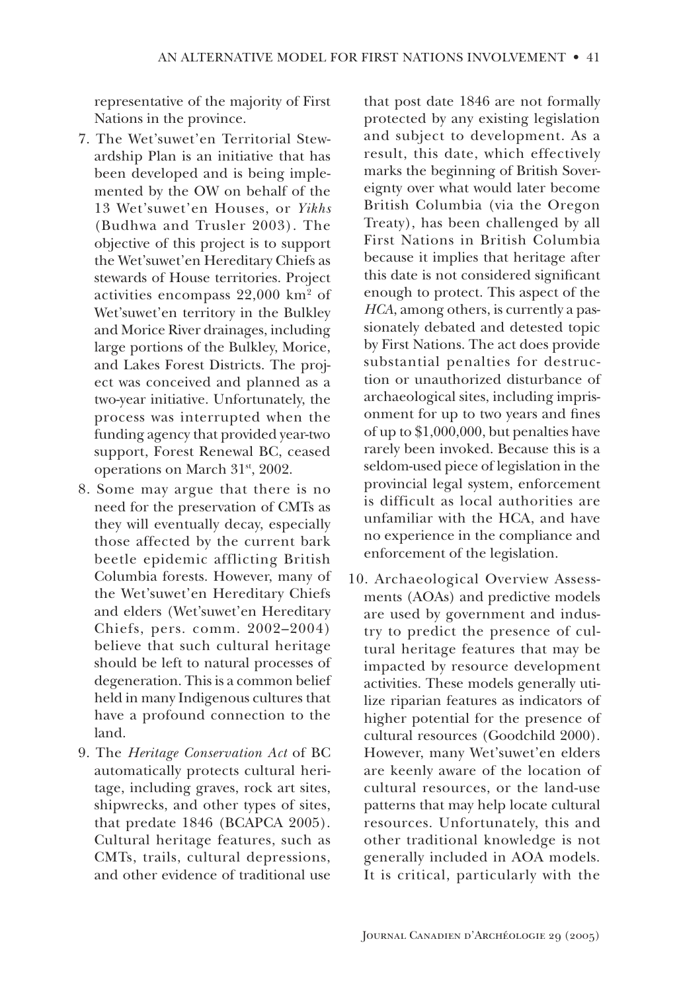representative of the majority of First Nations in the province.

- 7. The Wet'suwet'en Territorial Stewardship Plan is an initiative that has been developed and is being implemented by the OW on behalf of the 13 Wet'suwet'en Houses, or Yikhs (Budhwa and Trusler 2003). The objective of this project is to support the Wet'suwet'en Hereditary Chiefs as stewards of House territories. Project activities encompass  $22,000$  km<sup>2</sup> of Wet'suwet'en territory in the Bulkley and Morice River drainages, including large portions of the Bulkley, Morice, and Lakes Forest Districts. The project was conceived and planned as a two-year initiative. Unfortunately, the process was interrupted when the funding agency that provided year-two support, Forest Renewal BC, ceased operations on March 31<sup>st</sup>, 2002.
- 8. Some may argue that there is no need for the preservation of CMTs as they will eventually decay, especially those affected by the current bark beetle epidemic afflicting British Columbia forests. However, many of the Wet'suwet'en Hereditary Chiefs and elders (Wet'suwet'en Hereditary Chiefs, pers. comm. 2002-2004) believe that such cultural heritage should be left to natural processes of degeneration. This is a common belief held in many Indigenous cultures that have a profound connection to the land.
- 9. The *Heritage Conservation Act* of BC automatically protects cultural heritage, including graves, rock art sites, shipwrecks, and other types of sites, that predate 1846 (BCAPCA 2005). Cultural heritage features, such as CMTs, trails, cultural depressions, and other evidence of traditional use

that post date 1846 are not formally protected by any existing legislation and subject to development. As a result, this date, which effectively marks the beginning of British Sovereignty over what would later become British Columbia (via the Oregon Treaty), has been challenged by all First Nations in British Columbia because it implies that heritage after this date is not considered significant enough to protect. This aspect of the HCA, among others, is currently a passionately debated and detested topic by First Nations. The act does provide substantial penalties for destruction or unauthorized disturbance of archaeological sites, including imprisonment for up to two years and fines of up to  $$1,000,000$ , but penalties have rarely been invoked. Because this is a seldom-used piece of legislation in the provincial legal system, enforcement is difficult as local authorities are unfamiliar with the HCA, and have no experience in the compliance and enforcement of the legislation.

10. Archaeological Overview Assessments (AOAs) and predictive models are used by government and industry to predict the presence of cultural heritage features that may be impacted by resource development activities. These models generally utilize riparian features as indicators of higher potential for the presence of cultural resources (Goodchild 2000). However, many Wet'suwet'en elders are keenly aware of the location of cultural resources, or the land-use patterns that may help locate cultural resources. Unfortunately, this and other traditional knowledge is not generally included in AOA models. It is critical, particularly with the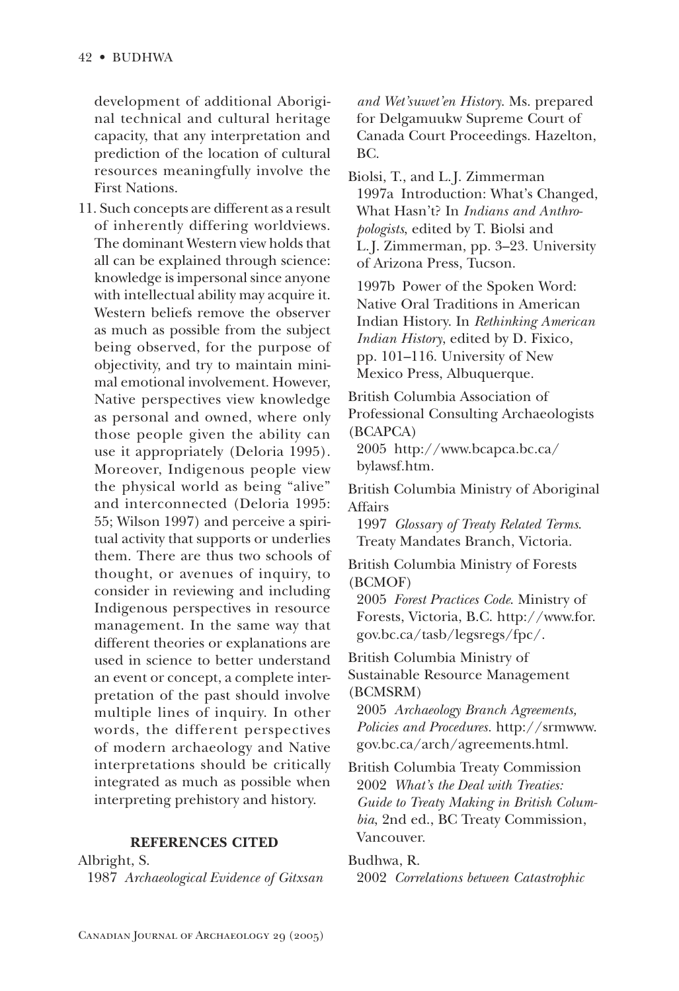development of additional Aboriginal technical and cultural heritage capacity, that any interpretation and prediction of the location of cultural resources meaningfully involve the **First Nations.** 

11. Such concepts are different as a result of inherently differing worldviews. The dominant Western view holds that all can be explained through science: knowledge is impersonal since anyone with intellectual ability may acquire it. Western beliefs remove the observer as much as possible from the subject being observed, for the purpose of objectivity, and try to maintain minimal emotional involvement. However, Native perspectives view knowledge as personal and owned, where only those people given the ability can use it appropriately (Deloria 1995). Moreover, Indigenous people view the physical world as being "alive" and interconnected (Deloria 1995: 55; Wilson 1997) and perceive a spiritual activity that supports or underlies them. There are thus two schools of thought, or avenues of inquiry, to consider in reviewing and including Indigenous perspectives in resource management. In the same way that different theories or explanations are used in science to better understand an event or concept, a complete interpretation of the past should involve multiple lines of inquiry. In other words, the different perspectives of modern archaeology and Native interpretations should be critically integrated as much as possible when interpreting prehistory and history.

## **REFERENCES CITED**

Albright, S. 1987 Archaeological Evidence of Gitxsan and Wet'suwet'en History. Ms. prepared for Delgamuukw Supreme Court of Canada Court Proceedings. Hazelton, BC.

Biolsi, T., and L.J. Zimmerman 1997a Introduction: What's Changed, What Hasn't? In *Indians and Anthro*pologists, edited by T. Biolsi and L.J. Zimmerman, pp. 3-23. University of Arizona Press, Tucson.

1997b Power of the Spoken Word: Native Oral Traditions in American Indian History. In Rethinking American Indian History, edited by D. Fixico, pp. 101–116. University of New Mexico Press, Albuquerque.

British Columbia Association of Professional Consulting Archaeologists (BCAPCA)

2005 http://www.bcapca.bc.ca/ bylawsf.htm.

British Columbia Ministry of Aboriginal Affairs

1997 Glossary of Treaty Related Terms. Treaty Mandates Branch, Victoria.

British Columbia Ministry of Forests (BCMOF)

2005 Forest Practices Code. Ministry of Forests, Victoria, B.C. http://www.for. gov.bc.ca/tasb/legsregs/fpc/.

British Columbia Ministry of Sustainable Resource Management (BCMSRM)

2005 Archaeology Branch Agreements, Policies and Procedures. http://srmwww. gov.bc.ca/arch/agreements.html.

**British Columbia Treaty Commission** 2002 What's the Deal with Treaties: Guide to Treaty Making in British Columbia, 2nd ed., BC Treaty Commission, Vancouver.

## Budhwa, R.

2002 Correlations between Catastrophic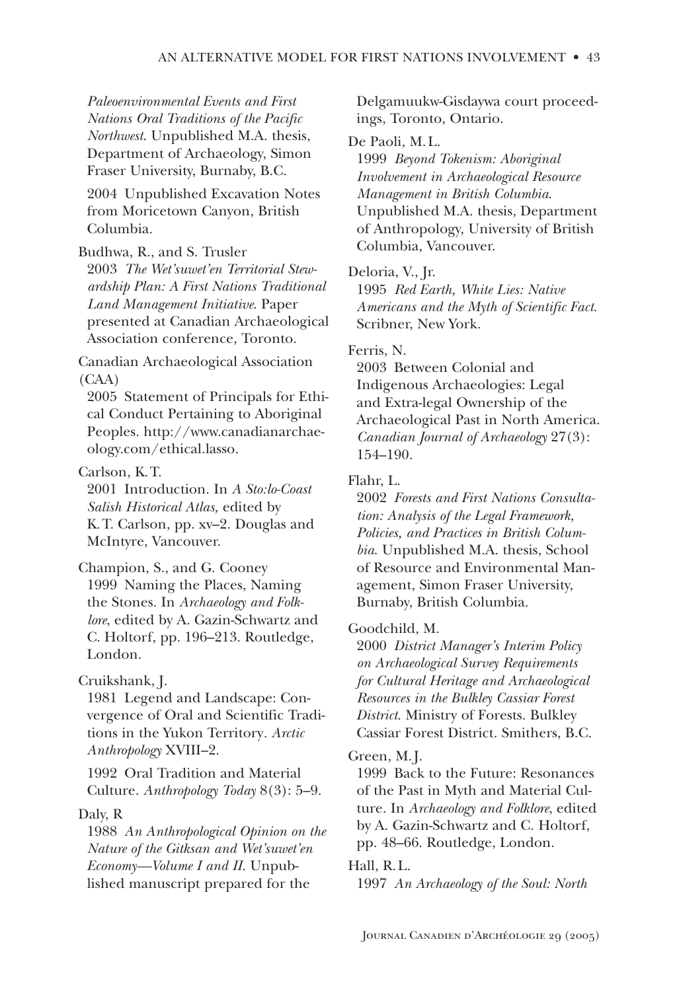Paleoenvironmental Events and First Nations Oral Traditions of the Pacific Northwest. Unpublished M.A. thesis, Department of Archaeology, Simon Fraser University, Burnaby, B.C.

2004 Unpublished Excavation Notes from Moricetown Canyon, British Columbia.

Budhwa, R., and S. Trusler 2003 The Wet'suwet'en Territorial Stewardship Plan: A First Nations Traditional Land Management Initiative. Paper presented at Canadian Archaeological Association conference, Toronto.

Canadian Archaeological Association  $(CAA)$ 

2005 Statement of Principals for Ethical Conduct Pertaining to Aboriginal Peoples. http://www.canadianarchaeology.com/ethical.lasso.

Carlson, K.T.

2001 Introduction. In A Sto:lo-Coast Salish Historical Atlas, edited by K.T. Carlson, pp. xv–2. Douglas and McIntyre, Vancouver.

Champion, S., and G. Cooney 1999 Naming the Places, Naming the Stones. In Archaeology and Folklore, edited by A. Gazin-Schwartz and C. Holtorf, pp. 196–213. Routledge, London.

Cruikshank, J.

1981 Legend and Landscape: Convergence of Oral and Scientific Traditions in the Yukon Territory. Arctic Anthropology XVIII-2.

1992 Oral Tradition and Material Culture. Anthropology Today 8(3): 5-9.

## Daly, R

1988 An Anthropological Opinion on the Nature of the Gitksan and Wet'suwet'en Economy-Volume I and II. Unpublished manuscript prepared for the

Delgamuukw-Gisdaywa court proceedings, Toronto, Ontario.

#### De Paoli, M.L.

1999 Beyond Tokenism: Aboriginal Involvement in Archaeological Resource Management in British Columbia. Unpublished M.A. thesis, Department of Anthropology, University of British Columbia, Vancouver.

#### Deloria, V., Jr.

1995 Red Earth, White Lies: Native Americans and the Myth of Scientific Fact. Scribner, New York.

# Ferris, N.

2003 Between Colonial and Indigenous Archaeologies: Legal and Extra-legal Ownership of the Archaeological Past in North America. Canadian Journal of Archaeology 27(3): 154–190.

# Flahr, L.

2002 Forests and First Nations Consultation: Analysis of the Legal Framework, Policies, and Practices in British Columbia. Unpublished M.A. thesis, School of Resource and Environmental Management, Simon Fraser University, Burnaby, British Columbia.

## Goodchild, M.

2000 District Manager's Interim Policy on Archaeological Survey Requirements for Cultural Heritage and Archaeological Resources in the Bulkley Cassiar Forest District. Ministry of Forests. Bulkley Cassiar Forest District. Smithers, B.C.

## Green, M.J.

1999 Back to the Future: Resonances of the Past in Myth and Material Culture. In Archaeology and Folklore, edited by A. Gazin-Schwartz and C. Holtorf, pp. 48–66. Routledge, London.

#### Hall, R.L.

1997 An Archaeology of the Soul: North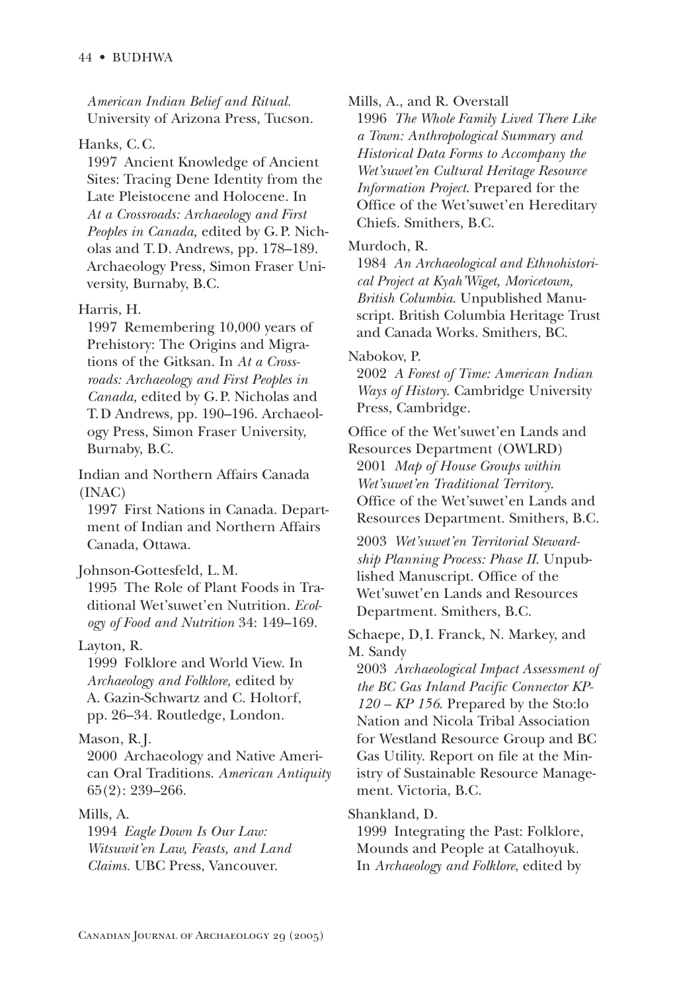American Indian Belief and Ritual. University of Arizona Press, Tucson.

### Hanks, C.C.

1997 Ancient Knowledge of Ancient Sites: Tracing Dene Identity from the Late Pleistocene and Holocene. In At a Crossroads: Archaeology and First Peoples in Canada, edited by G.P. Nicholas and T.D. Andrews, pp. 178–189. Archaeology Press, Simon Fraser University, Burnaby, B.C.

#### Harris, H.

1997 Remembering 10,000 years of Prehistory: The Origins and Migrations of the Gitksan. In At a Crossroads: Archaeology and First Peoples in Canada, edited by G.P. Nicholas and T.D Andrews, pp. 190–196. Archaeology Press, Simon Fraser University, Burnaby, B.C.

Indian and Northern Affairs Canada  $(INAC)$ 

1997 First Nations in Canada. Department of Indian and Northern Affairs Canada, Ottawa.

Johnson-Gottesfeld, L.M.

1995 The Role of Plant Foods in Traditional Wet'suwet'en Nutrition. Ecology of Food and Nutrition 34: 149-169.

#### Layton, R.

1999 Folklore and World View. In Archaeology and Folklore, edited by A. Gazin-Schwartz and C. Holtorf, pp. 26–34. Routledge, London.

## Mason, R.J.

2000 Archaeology and Native American Oral Traditions. American Antiquity  $65(2)$ : 239-266.

#### Mills. A.

1994 Eagle Down Is Our Law: Witsuwit'en Law, Feasts, and Land Claims. UBC Press, Vancouver.

Mills, A., and R. Overstall

1996 The Whole Family Lived There Like a Town: Anthropological Summary and Historical Data Forms to Accompany the Wet'suwet'en Cultural Heritage Resource Information Project. Prepared for the Office of the Wet'suwet'en Hereditary Chiefs. Smithers, B.C.

#### Murdoch, R.

1984 An Archaeological and Ethnohistorical Project at Kyah'Wiget, Moricetown, British Columbia. Unpublished Manuscript. British Columbia Heritage Trust and Canada Works. Smithers, BC.

#### Nabokov. P.

2002 A Forest of Time: American Indian Ways of History. Cambridge University Press, Cambridge.

Office of the Wet'suwet'en Lands and Resources Department (OWLRD) 2001 Map of House Groups within Wet'suwet'en Traditional Territory. Office of the Wet'suwet'en Lands and Resources Department. Smithers, B.C.

2003 Wet'suwet'en Territorial Stewardship Planning Process: Phase II. Unpublished Manuscript. Office of the Wet'suwet'en Lands and Resources Department. Smithers, B.C.

Schaepe, D, I. Franck, N. Markey, and M. Sandy

2003 Archaeological Impact Assessment of the BC Gas Inland Pacific Connector KP- $120 - KP$  156. Prepared by the Sto:lo Nation and Nicola Tribal Association for Westland Resource Group and BC Gas Utility. Report on file at the Ministry of Sustainable Resource Management. Victoria, B.C.

#### Shankland, D.

1999 Integrating the Past: Folklore, Mounds and People at Catalhoyuk. In Archaeology and Folklore, edited by